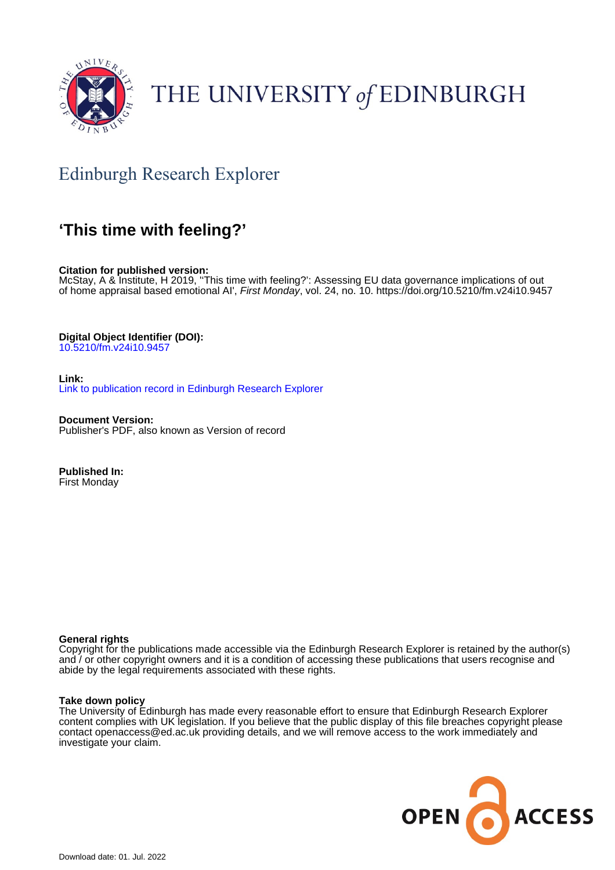

# THE UNIVERSITY of EDINBURGH

# Edinburgh Research Explorer

## **'This time with feeling?'**

**Citation for published version:**

McStay, A & Institute, H 2019, ''This time with feeling?': Assessing EU data governance implications of out of home appraisal based emotional AI', *First Monday*, vol. 24, no. 10.<https://doi.org/10.5210/fm.v24i10.9457>

**Digital Object Identifier (DOI):**

[10.5210/fm.v24i10.9457](https://doi.org/10.5210/fm.v24i10.9457)

**Link:** [Link to publication record in Edinburgh Research Explorer](https://www.research.ed.ac.uk/en/publications/1a5ee261-5e75-42dd-9668-c5c1fe7bf067)

**Document Version:** Publisher's PDF, also known as Version of record

**Published In:** First Monday

## **General rights**

Copyright for the publications made accessible via the Edinburgh Research Explorer is retained by the author(s) and / or other copyright owners and it is a condition of accessing these publications that users recognise and abide by the legal requirements associated with these rights.

## **Take down policy**

The University of Edinburgh has made every reasonable effort to ensure that Edinburgh Research Explorer content complies with UK legislation. If you believe that the public display of this file breaches copyright please contact openaccess@ed.ac.uk providing details, and we will remove access to the work immediately and investigate your claim.

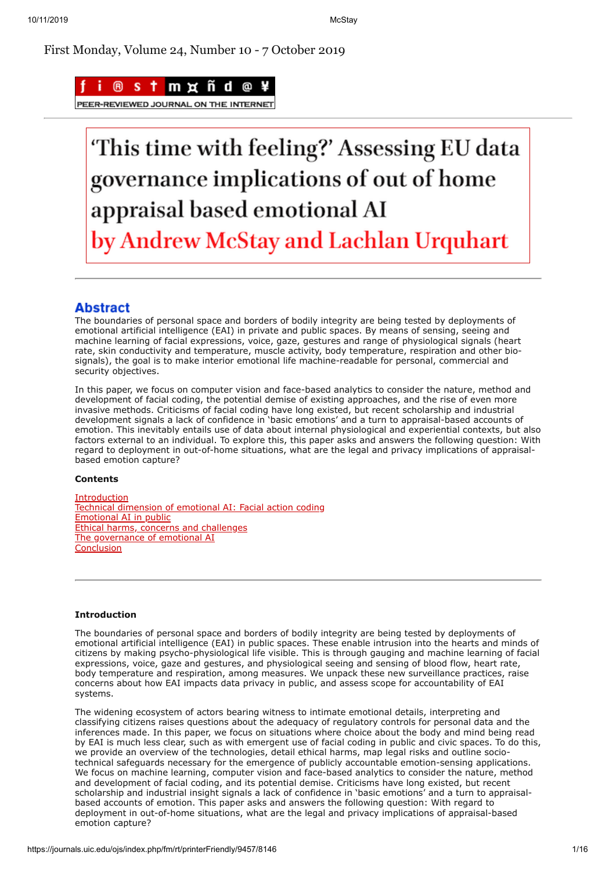First Monday, Volume 24, Number 10 - 7 October 2019



**JOURNAL** 

# This time with feeling?' Assessing EU data governance implications of out of home appraisal based emotional AI by Andrew McStay and Lachlan Urquhart

## **Abstract**

The boundaries of personal space and borders of bodily integrity are being tested by deployments of emotional artificial intelligence (EAI) in private and public spaces. By means of sensing, seeing and machine learning of facial expressions, voice, gaze, gestures and range of physiological signals (heart rate, skin conductivity and temperature, muscle activity, body temperature, respiration and other biosignals), the goal is to make interior emotional life machine-readable for personal, commercial and security objectives.

In this paper, we focus on computer vision and face-based analytics to consider the nature, method and development of facial coding, the potential demise of existing approaches, and the rise of even more invasive methods. Criticisms of facial coding have long existed, but recent scholarship and industrial development signals a lack of confidence in 'basic emotions' and a turn to appraisal-based accounts of emotion. This inevitably entails use of data about internal physiological and experiential contexts, but also factors external to an individual. To explore this, this paper asks and answers the following question: With regard to deployment in out-of-home situations, what are the legal and privacy implications of appraisalbased emotion capture?

## **Contents**

[Introduction](#page-1-0) [Technical dimension of emotional AI: Facial action coding](#page-2-0) [Emotional AI in public](#page-4-0) [Ethical harms, concerns and challenges](#page-4-1) [The governance of emotional AI](#page-5-0) **[Conclusion](#page-10-0)** 

## <span id="page-1-0"></span>**Introduction**

The boundaries of personal space and borders of bodily integrity are being tested by deployments of emotional artificial intelligence (EAI) in public spaces. These enable intrusion into the hearts and minds of citizens by making psycho-physiological life visible. This is through gauging and machine learning of facial expressions, voice, gaze and gestures, and physiological seeing and sensing of blood flow, heart rate, body temperature and respiration, among measures. We unpack these new surveillance practices, raise concerns about how EAI impacts data privacy in public, and assess scope for accountability of EAI systems.

The widening ecosystem of actors bearing witness to intimate emotional details, interpreting and classifying citizens raises questions about the adequacy of regulatory controls for personal data and the inferences made. In this paper, we focus on situations where choice about the body and mind being read by EAI is much less clear, such as with emergent use of facial coding in public and civic spaces. To do this, we provide an overview of the technologies, detail ethical harms, map legal risks and outline sociotechnical safeguards necessary for the emergence of publicly accountable emotion-sensing applications. We focus on machine learning, computer vision and face-based analytics to consider the nature, method and development of facial coding, and its potential demise. Criticisms have long existed, but recent scholarship and industrial insight signals a lack of confidence in 'basic emotions' and a turn to appraisalbased accounts of emotion. This paper asks and answers the following question: With regard to deployment in out-of-home situations, what are the legal and privacy implications of appraisal-based emotion capture?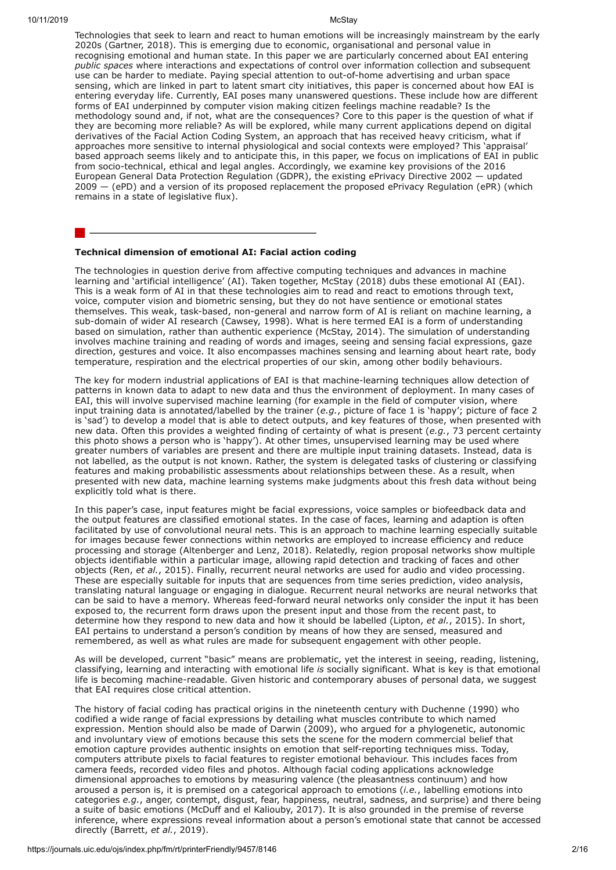Technologies that seek to learn and react to human emotions will be increasingly mainstream by the early 2020s (Gartner, 2018). This is emerging due to economic, organisational and personal value in recognising emotional and human state. In this paper we are particularly concerned about EAI entering *public spaces* where interactions and expectations of control over information collection and subsequent use can be harder to mediate. Paying special attention to out-of-home advertising and urban space sensing, which are linked in part to latent smart city initiatives, this paper is concerned about how EAI is entering everyday life. Currently, EAI poses many unanswered questions. These include how are different forms of EAI underpinned by computer vision making citizen feelings machine readable? Is the methodology sound and, if not, what are the consequences? Core to this paper is the question of what if they are becoming more reliable? As will be explored, while many current applications depend on digital derivatives of the Facial Action Coding System, an approach that has received heavy criticism, what if approaches more sensitive to internal physiological and social contexts were employed? This 'appraisal' based approach seems likely and to anticipate this, in this paper, we focus on implications of EAI in public from socio-technical, ethical and legal angles. Accordingly, we examine key provisions of the 2016 European General Data Protection Regulation (GDPR), the existing ePrivacy Directive 2002 — updated 2009 — (ePD) and a version of its proposed replacement the proposed ePrivacy Regulation (ePR) (which remains in a state of legislative flux).

### <span id="page-2-0"></span>**Technical dimension of emotional AI: Facial action coding**

The technologies in question derive from affective computing techniques and advances in machine learning and 'artificial intelligence' (AI). Taken together, McStay (2018) dubs these emotional AI (EAI). This is a weak form of AI in that these technologies aim to read and react to emotions through text, voice, computer vision and biometric sensing, but they do not have sentience or emotional states themselves. This weak, task-based, non-general and narrow form of AI is reliant on machine learning, a sub-domain of wider AI research (Cawsey, 1998). What is here termed EAI is a form of understanding based on simulation, rather than authentic experience (McStay, 2014). The simulation of understanding involves machine training and reading of words and images, seeing and sensing facial expressions, gaze direction, gestures and voice. It also encompasses machines sensing and learning about heart rate, body temperature, respiration and the electrical properties of our skin, among other bodily behaviours.

The key for modern industrial applications of EAI is that machine-learning techniques allow detection of patterns in known data to adapt to new data and thus the environment of deployment. In many cases of EAI, this will involve supervised machine learning (for example in the field of computer vision, where input training data is annotated/labelled by the trainer (*e.g.*, picture of face 1 is 'happy'; picture of face 2 is 'sad') to develop a model that is able to detect outputs, and key features of those, when presented with new data. Often this provides a weighted finding of certainty of what is present (*e.g.*, 73 percent certainty this photo shows a person who is 'happy'). At other times, unsupervised learning may be used where greater numbers of variables are present and there are multiple input training datasets. Instead, data is not labelled, as the output is not known. Rather, the system is delegated tasks of clustering or classifying features and making probabilistic assessments about relationships between these. As a result, when presented with new data, machine learning systems make judgments about this fresh data without being explicitly told what is there.

In this paper's case, input features might be facial expressions, voice samples or biofeedback data and the output features are classified emotional states. In the case of faces, learning and adaption is often facilitated by use of convolutional neural nets. This is an approach to machine learning especially suitable for images because fewer connections within networks are employed to increase efficiency and reduce processing and storage (Altenberger and Lenz, 2018). Relatedly, region proposal networks show multiple objects identifiable within a particular image, allowing rapid detection and tracking of faces and other objects (Ren, *et al.*, 2015). Finally, recurrent neural networks are used for audio and video processing. These are especially suitable for inputs that are sequences from time series prediction, video analysis, translating natural language or engaging in dialogue. Recurrent neural networks are neural networks that can be said to have a memory. Whereas feed-forward neural networks only consider the input it has been exposed to, the recurrent form draws upon the present input and those from the recent past, to determine how they respond to new data and how it should be labelled (Lipton, *et al.*, 2015). In short, EAI pertains to understand a person's condition by means of how they are sensed, measured and remembered, as well as what rules are made for subsequent engagement with other people.

As will be developed, current "basic" means are problematic, yet the interest in seeing, reading, listening, classifying, learning and interacting with emotional life *is* socially significant. What is key is that emotional life is becoming machine-readable. Given historic and contemporary abuses of personal data, we suggest that EAI requires close critical attention.

The history of facial coding has practical origins in the nineteenth century with Duchenne (1990) who codified a wide range of facial expressions by detailing what muscles contribute to which named expression. Mention should also be made of Darwin (2009), who argued for a phylogenetic, autonomic and involuntary view of emotions because this sets the scene for the modern commercial belief that emotion capture provides authentic insights on emotion that self-reporting techniques miss. Today, computers attribute pixels to facial features to register emotional behaviour. This includes faces from camera feeds, recorded video files and photos. Although facial coding applications acknowledge dimensional approaches to emotions by measuring valence (the pleasantness continuum) and how aroused a person is, it is premised on a categorical approach to emotions (*i.e.*, labelling emotions into categories *e.g.*, anger, contempt, disgust, fear, happiness, neutral, sadness, and surprise) and there being a suite of basic emotions (McDuff and el Kaliouby, 2017). It is also grounded in the premise of reverse inference, where expressions reveal information about a person's emotional state that cannot be accessed directly (Barrett, *et al.*, 2019).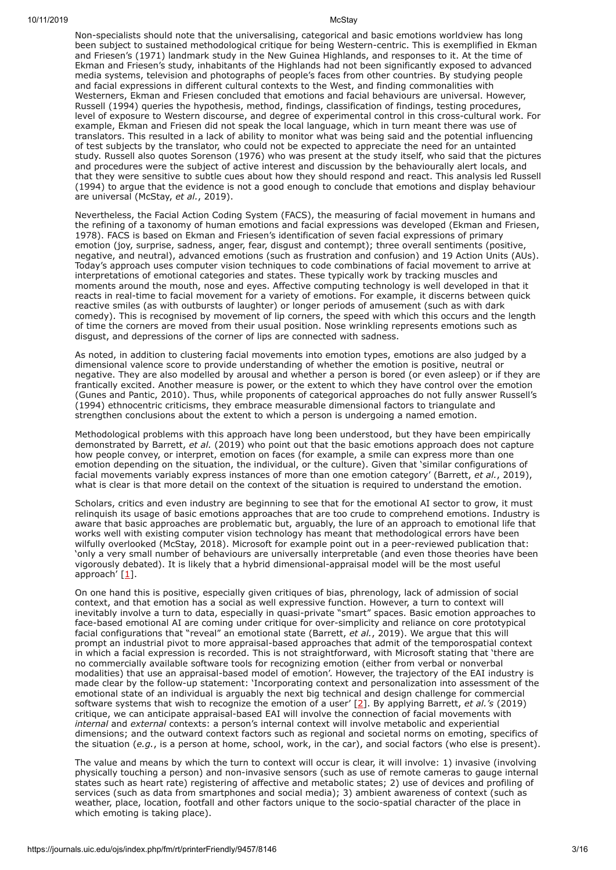Non-specialists should note that the universalising, categorical and basic emotions worldview has long been subject to sustained methodological critique for being Western-centric. This is exemplified in Ekman and Friesen's (1971) landmark study in the New Guinea Highlands, and responses to it. At the time of Ekman and Friesen's study, inhabitants of the Highlands had not been significantly exposed to advanced media systems, television and photographs of people's faces from other countries. By studying people and facial expressions in different cultural contexts to the West, and finding commonalities with Westerners, Ekman and Friesen concluded that emotions and facial behaviours are universal. However, Russell (1994) queries the hypothesis, method, findings, classification of findings, testing procedures, level of exposure to Western discourse, and degree of experimental control in this cross-cultural work. For example, Ekman and Friesen did not speak the local language, which in turn meant there was use of translators. This resulted in a lack of ability to monitor what was being said and the potential influencing of test subjects by the translator, who could not be expected to appreciate the need for an untainted study. Russell also quotes Sorenson (1976) who was present at the study itself, who said that the pictures and procedures were the subject of active interest and discussion by the behaviourally alert locals, and that they were sensitive to subtle cues about how they should respond and react. This analysis led Russell (1994) to argue that the evidence is not a good enough to conclude that emotions and display behaviour are universal (McStay, *et al.*, 2019).

Nevertheless, the Facial Action Coding System (FACS), the measuring of facial movement in humans and the refining of a taxonomy of human emotions and facial expressions was developed (Ekman and Friesen, 1978). FACS is based on Ekman and Friesen's identification of seven facial expressions of primary emotion (joy, surprise, sadness, anger, fear, disgust and contempt); three overall sentiments (positive, negative, and neutral), advanced emotions (such as frustration and confusion) and 19 Action Units (AUs). Today's approach uses computer vision techniques to code combinations of facial movement to arrive at interpretations of emotional categories and states. These typically work by tracking muscles and moments around the mouth, nose and eyes. Affective computing technology is well developed in that it reacts in real-time to facial movement for a variety of emotions. For example, it discerns between quick reactive smiles (as with outbursts of laughter) or longer periods of amusement (such as with dark comedy). This is recognised by movement of lip corners, the speed with which this occurs and the length of time the corners are moved from their usual position. Nose wrinkling represents emotions such as disgust, and depressions of the corner of lips are connected with sadness.

As noted, in addition to clustering facial movements into emotion types, emotions are also judged by a dimensional valence score to provide understanding of whether the emotion is positive, neutral or negative. They are also modelled by arousal and whether a person is bored (or even asleep) or if they are frantically excited. Another measure is power, or the extent to which they have control over the emotion (Gunes and Pantic, 2010). Thus, while proponents of categorical approaches do not fully answer Russell's (1994) ethnocentric criticisms, they embrace measurable dimensional factors to triangulate and strengthen conclusions about the extent to which a person is undergoing a named emotion.

Methodological problems with this approach have long been understood, but they have been empirically demonstrated by Barrett, *et al.* (2019) who point out that the basic emotions approach does not capture how people convey, or interpret, emotion on faces (for example, a smile can express more than one emotion depending on the situation, the individual, or the culture). Given that 'similar configurations of facial movements variably express instances of more than one emotion category' (Barrett, *et al.*, 2019), what is clear is that more detail on the context of the situation is required to understand the emotion.

Scholars, critics and even industry are beginning to see that for the emotional AI sector to grow, it must relinquish its usage of basic emotions approaches that are too crude to comprehend emotions. Industry is aware that basic approaches are problematic but, arguably, the lure of an approach to emotional life that works well with existing computer vision technology has meant that methodological errors have been wilfully overlooked (McStay, 2018). Microsoft for example point out in a peer-reviewed publication that: 'only a very small number of behaviours are universally interpretable (and even those theories have been vigorously debated). It is likely that a hybrid dimensional-appraisal model will be the most useful approach' [[1\]](#page-11-0).

<span id="page-3-0"></span>On one hand this is positive, especially given critiques of bias, phrenology, lack of admission of social context, and that emotion has a social as well expressive function. However, a turn to context will inevitably involve a turn to data, especially in quasi-private "smart" spaces. Basic emotion approaches to face-based emotional AI are coming under critique for over-simplicity and reliance on core prototypical facial configurations that "reveal" an emotional state (Barrett, *et al.*, 2019). We argue that this will prompt an industrial pivot to more appraisal-based approaches that admit of the temporospatial context in which a facial expression is recorded. This is not straightforward, with Microsoft stating that 'there are no commercially available software tools for recognizing emotion (either from verbal or nonverbal modalities) that use an appraisal-based model of emotion'. However, the trajectory of the EAI industry is made clear by the follow-up statement: 'Incorporating context and personalization into assessment of the emotional state of an individual is arguably the next big technical and design challenge for commercial software systems that wish to recognize the emotion of a user' [[2](#page-11-1)]. By applying Barrett, *et al.'s* (2019) critique, we can anticipate appraisal-based EAI will involve the connection of facial movements with *internal* and *external* contexts: a person's internal context will involve metabolic and experiential dimensions; and the outward context factors such as regional and societal norms on emoting, specifics of the situation (*e.g.*, is a person at home, school, work, in the car), and social factors (who else is present).

<span id="page-3-1"></span>The value and means by which the turn to context will occur is clear, it will involve: 1) invasive (involving physically touching a person) and non-invasive sensors (such as use of remote cameras to gauge internal states such as heart rate) registering of affective and metabolic states; 2) use of devices and profiling of services (such as data from smartphones and social media); 3) ambient awareness of context (such as weather, place, location, footfall and other factors unique to the socio-spatial character of the place in which emoting is taking place).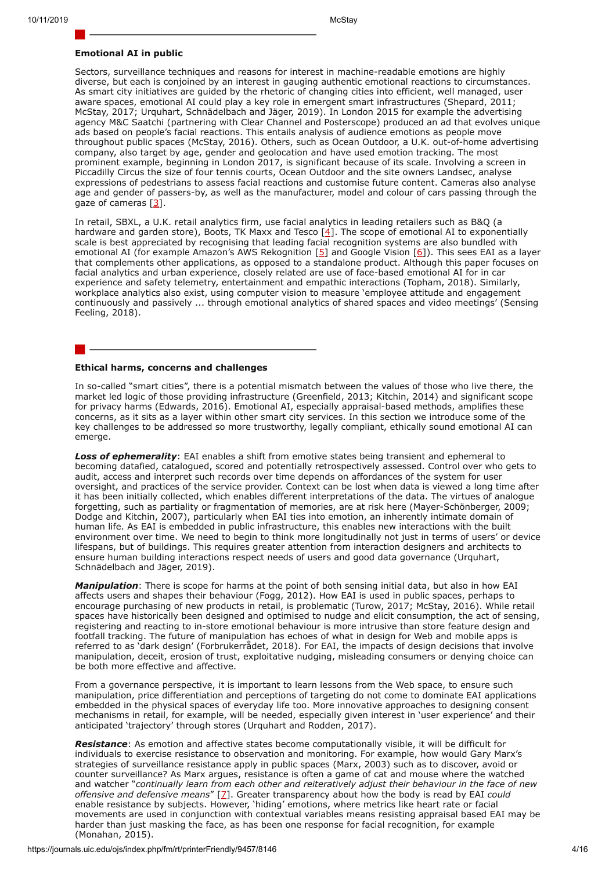<span id="page-4-5"></span><span id="page-4-4"></span><span id="page-4-3"></span>

#### <span id="page-4-0"></span>**Emotional AI in public**

Sectors, surveillance techniques and reasons for interest in machine-readable emotions are highly diverse, but each is conjoined by an interest in gauging authentic emotional reactions to circumstances. As smart city initiatives are guided by the rhetoric of changing cities into efficient, well managed, user aware spaces, emotional AI could play a key role in emergent smart infrastructures (Shepard, 2011; McStay, 2017; Urquhart, Schnädelbach and Jäger, 2019). In London 2015 for example the advertising agency M&C Saatchi (partnering with Clear Channel and Posterscope) produced an ad that evolves unique ads based on people's facial reactions. This entails analysis of audience emotions as people move throughout public spaces (McStay, 2016). Others, such as Ocean Outdoor, a U.K. out-of-home advertising company, also target by age, gender and geolocation and have used emotion tracking. The most prominent example, beginning in London 2017, is significant because of its scale. Involving a screen in Piccadilly Circus the size of four tennis courts, Ocean Outdoor and the site owners Landsec, analyse expressions of pedestrians to assess facial reactions and customise future content. Cameras also analyse age and gender of passers-by, as well as the manufacturer, model and colour of cars passing through the gaze of cameras [\[3\]](#page-11-2).

<span id="page-4-2"></span>In retail, SBXL, a U.K. retail analytics firm, use facial analytics in leading retailers such as B&Q (a hardware and garden store), Boots, TK Maxx and Tesco  $[4]$  $[4]$ . The scope of emotional AI to exponentially scale is best appreciated by recognising that leading facial recognition systems are also bundled with emotional AI (for example Amazon's AWS Rekognition [\[5](#page-11-4)] and Google Vision [\[6\]](#page-11-5)). This sees EAI as a layer that complements other applications, as opposed to a standalone product. Although this paper focuses on facial analytics and urban experience, closely related are use of face-based emotional AI for in car experience and safety telemetry, entertainment and empathic interactions (Topham, 2018). Similarly, workplace analytics also exist, using computer vision to measure 'employee attitude and engagement continuously and passively ... through emotional analytics of shared spaces and video meetings' (Sensing Feeling, 2018).

### <span id="page-4-1"></span>**Ethical harms, concerns and challenges**

In so-called "smart cities", there is a potential mismatch between the values of those who live there, the market led logic of those providing infrastructure (Greenfield, 2013; Kitchin, 2014) and significant scope for privacy harms (Edwards, 2016). Emotional AI, especially appraisal-based methods, amplifies these concerns, as it sits as a layer within other smart city services. In this section we introduce some of the key challenges to be addressed so more trustworthy, legally compliant, ethically sound emotional AI can emerge.

**Loss of ephemerality**: EAI enables a shift from emotive states being transient and ephemeral to becoming datafied, catalogued, scored and potentially retrospectively assessed. Control over who gets to audit, access and interpret such records over time depends on affordances of the system for user oversight, and practices of the service provider. Context can be lost when data is viewed a long time after it has been initially collected, which enables different interpretations of the data. The virtues of analogue forgetting, such as partiality or fragmentation of memories, are at risk here (Mayer-Schönberger, 2009; Dodge and Kitchin, 2007), particularly when EAI ties into emotion, an inherently intimate domain of human life. As EAI is embedded in public infrastructure, this enables new interactions with the built environment over time. We need to begin to think more longitudinally not just in terms of users' or device lifespans, but of buildings. This requires greater attention from interaction designers and architects to ensure human building interactions respect needs of users and good data governance (Urquhart, Schnädelbach and Jäger, 2019).

*Manipulation*: There is scope for harms at the point of both sensing initial data, but also in how EAI affects users and shapes their behaviour (Fogg, 2012). How EAI is used in public spaces, perhaps to encourage purchasing of new products in retail, is problematic (Turow, 2017; McStay, 2016). While retail spaces have historically been designed and optimised to nudge and elicit consumption, the act of sensing, registering and reacting to in-store emotional behaviour is more intrusive than store feature design and footfall tracking. The future of manipulation has echoes of what in design for Web and mobile apps is referred to as 'dark design' (Forbrukerrådet, 2018). For EAI, the impacts of design decisions that involve manipulation, deceit, erosion of trust, exploitative nudging, misleading consumers or denying choice can be both more effective and affective.

From a governance perspective, it is important to learn lessons from the Web space, to ensure such manipulation, price differentiation and perceptions of targeting do not come to dominate EAI applications embedded in the physical spaces of everyday life too. More innovative approaches to designing consent mechanisms in retail, for example, will be needed, especially given interest in 'user experience' and their anticipated 'trajectory' through stores (Urquhart and Rodden, 2017).

<span id="page-4-6"></span>*Resistance*: As emotion and affective states become computationally visible, it will be difficult for individuals to exercise resistance to observation and monitoring. For example, how would Gary Marx's strategies of surveillance resistance apply in public spaces (Marx, 2003) such as to discover, avoid or counter surveillance? As Marx argues, resistance is often a game of cat and mouse where the watched and watcher "*continually learn from each other and reiteratively adjust their behaviour in the face of new offensive and defensive means*" [[7\]](#page-11-6). Greater transparency about how the body is read by EAI *could* enable resistance by subjects. However, 'hiding' emotions, where metrics like heart rate or facial movements are used in conjunction with contextual variables means resisting appraisal based EAI may be harder than just masking the face, as has been one response for facial recognition, for example (Monahan, 2015).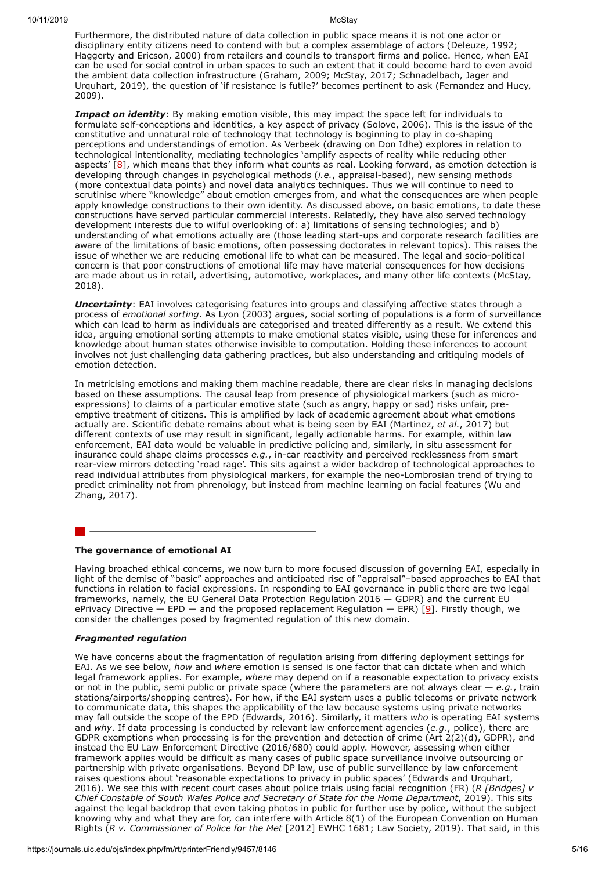Furthermore, the distributed nature of data collection in public space means it is not one actor or disciplinary entity citizens need to contend with but a complex assemblage of actors (Deleuze, 1992; Haggerty and Ericson, 2000) from retailers and councils to transport firms and police. Hence, when EAI can be used for social control in urban spaces to such an extent that it could become hard to even avoid the ambient data collection infrastructure (Graham, 2009; McStay, 2017; Schnadelbach, Jager and Urquhart, 2019), the question of 'if resistance is futile?' becomes pertinent to ask (Fernandez and Huey, 2009).

<span id="page-5-1"></span>**Impact on identity**: By making emotion visible, this may impact the space left for individuals to formulate self-conceptions and identities, a key aspect of privacy (Solove, 2006). This is the issue of the constitutive and unnatural role of technology that technology is beginning to play in co-shaping perceptions and understandings of emotion. As Verbeek (drawing on Don Idhe) explores in relation to technological intentionality, mediating technologies 'amplify aspects of reality while reducing other aspects'  $[8]$  $[8]$ , which means that they inform what counts as real. Looking forward, as emotion detection is developing through changes in psychological methods (*i.e.*, appraisal-based), new sensing methods (more contextual data points) and novel data analytics techniques. Thus we will continue to need to scrutinise where "knowledge" about emotion emerges from, and what the consequences are when people apply knowledge constructions to their own identity. As discussed above, on basic emotions, to date these constructions have served particular commercial interests. Relatedly, they have also served technology development interests due to wilful overlooking of: a) limitations of sensing technologies; and b) understanding of what emotions actually are (those leading start-ups and corporate research facilities are aware of the limitations of basic emotions, often possessing doctorates in relevant topics). This raises the issue of whether we are reducing emotional life to what can be measured. The legal and socio-political concern is that poor constructions of emotional life may have material consequences for how decisions are made about us in retail, advertising, automotive, workplaces, and many other life contexts (McStay, 2018).

*Uncertainty*: EAI involves categorising features into groups and classifying affective states through a process of *emotional sorting*. As Lyon (2003) argues, social sorting of populations is a form of surveillance which can lead to harm as individuals are categorised and treated differently as a result. We extend this idea, arguing emotional sorting attempts to make emotional states visible, using these for inferences and knowledge about human states otherwise invisible to computation. Holding these inferences to account involves not just challenging data gathering practices, but also understanding and critiquing models of emotion detection.

In metricising emotions and making them machine readable, there are clear risks in managing decisions based on these assumptions. The causal leap from presence of physiological markers (such as microexpressions) to claims of a particular emotive state (such as angry, happy or sad) risks unfair, preemptive treatment of citizens. This is amplified by lack of academic agreement about what emotions actually are. Scientific debate remains about what is being seen by EAI (Martinez, *et al.*, 2017) but different contexts of use may result in significant, legally actionable harms. For example, within law enforcement, EAI data would be valuable in predictive policing and, similarly, in situ assessment for insurance could shape claims processes *e.g.*, in-car reactivity and perceived recklessness from smart rear-view mirrors detecting 'road rage'. This sits against a wider backdrop of technological approaches to read individual attributes from physiological markers, for example the neo-Lombrosian trend of trying to predict criminality not from phrenology, but instead from machine learning on facial features (Wu and Zhang, 2017).

#### <span id="page-5-0"></span>**The governance of emotional AI**

Having broached ethical concerns, we now turn to more focused discussion of governing EAI, especially in light of the demise of "basic" approaches and anticipated rise of "appraisal"–based approaches to EAI that functions in relation to facial expressions. In responding to EAI governance in public there are two legal frameworks, namely, the EU General Data Protection Regulation 2016 — GDPR) and the current EU ePrivacy Directive — EPD — and the proposed replacement Regulation — EPR) [ $9$ ]. Firstly though, we consider the challenges posed by fragmented regulation of this new domain.

#### <span id="page-5-2"></span>*Fragmented regulation*

We have concerns about the fragmentation of regulation arising from differing deployment settings for EAI. As we see below, *how* and *where* emotion is sensed is one factor that can dictate when and which legal framework applies. For example, *where* may depend on if a reasonable expectation to privacy exists or not in the public, semi public or private space (where the parameters are not always clear — *e.g.*, train stations/airports/shopping centres). For how, if the EAI system uses a public telecoms or private network to communicate data, this shapes the applicability of the law because systems using private networks may fall outside the scope of the EPD (Edwards, 2016). Similarly, it matters *who* is operating EAI systems and *why*. If data processing is conducted by relevant law enforcement agencies (*e.g.*, police), there are GDPR exemptions when processing is for the prevention and detection of crime (Art 2(2)(d), GDPR), and instead the EU Law Enforcement Directive (2016/680) could apply. However, assessing when either framework applies would be difficult as many cases of public space surveillance involve outsourcing or partnership with private organisations. Beyond DP law, use of public surveillance by law enforcement raises questions about 'reasonable expectations to privacy in public spaces' (Edwards and Urquhart, 2016). We see this with recent court cases about police trials using facial recognition (FR) (*R [Bridges] v Chief Constable of South Wales Police and Secretary of State for the Home Department*, 2019). This sits against the legal backdrop that even taking photos in public for further use by police, without the subject knowing why and what they are for, can interfere with Article 8(1) of the European Convention on Human Rights (*R v. Commissioner of Police for the Met* [2012] EWHC 1681; Law Society, 2019). That said, in this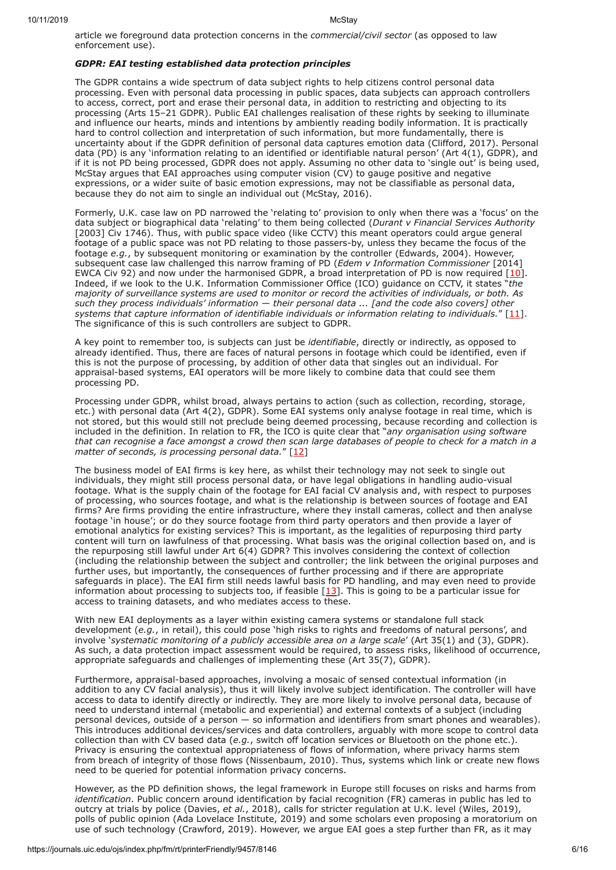article we foreground data protection concerns in the *commercial/civil sector* (as opposed to law enforcement use).

## *GDPR: EAI testing established data protection principles*

The GDPR contains a wide spectrum of data subject rights to help citizens control personal data processing. Even with personal data processing in public spaces, data subjects can approach controllers to access, correct, port and erase their personal data, in addition to restricting and objecting to its processing (Arts 15–21 GDPR). Public EAI challenges realisation of these rights by seeking to illuminate and influence our hearts, minds and intentions by ambiently reading bodily information. It is practically hard to control collection and interpretation of such information, but more fundamentally, there is uncertainty about if the GDPR definition of personal data captures emotion data (Clifford, 2017). Personal data (PD) is any 'information relating to an identified or identifiable natural person' (Art 4(1), GDPR), and if it is not PD being processed, GDPR does not apply. Assuming no other data to 'single out' is being used, McStay argues that EAI approaches using computer vision (CV) to gauge positive and negative expressions, or a wider suite of basic emotion expressions, may not be classifiable as personal data, because they do not aim to single an individual out (McStay, 2016).

Formerly, U.K. case law on PD narrowed the 'relating to' provision to only when there was a 'focus' on the data subject or biographical data 'relating' to them being collected (*Durant v Financial Services Authority* [2003] Civ 1746). Thus, with public space video (like CCTV) this meant operators could argue general footage of a public space was not PD relating to those passers-by, unless they became the focus of the footage *e.g.*, by subsequent monitoring or examination by the controller (Edwards, 2004). However, subsequent case law challenged this narrow framing of PD (*Edem v Information Commissioner* [2014] EWCA Civ 92) and now under the harmonised GDPR, a broad interpretation of PD is now required [[10](#page-11-9)]. Indeed, if we look to the U.K. Information Commissioner Office (ICO) guidance on CCTV, it states "*the majority of surveillance systems are used to monitor or record the activities of individuals, or both. As such they process individuals' information — their personal data ... [and the code also covers] other systems that capture information of identifiable individuals or information relating to individuals.*" [\[11\]](#page-11-10). The significance of this is such controllers are subject to GDPR.

A key point to remember too, is subjects can just be *identifiable*, directly or indirectly, as opposed to already identified. Thus, there are faces of natural persons in footage which could be identified, even if this is not the purpose of processing, by addition of other data that singles out an individual. For appraisal-based systems, EAI operators will be more likely to combine data that could see them processing PD.

Processing under GDPR, whilst broad, always pertains to action (such as collection, recording, storage, etc.) with personal data (Art 4(2), GDPR). Some EAI systems only analyse footage in real time, which is not stored, but this would still not preclude being deemed processing, because recording and collection is included in the definition. In relation to FR, the ICO is quite clear that "*any organisation using software that can recognise a face amongst a crowd then scan large databases of people to check for a match in a* matter of seconds, is processing personal data." [\[12](#page-11-11)]

The business model of EAI firms is key here, as whilst their technology may not seek to single out individuals, they might still process personal data, or have legal obligations in handling audio-visual footage. What is the supply chain of the footage for EAI facial CV analysis and, with respect to purposes of processing, who sources footage, and what is the relationship is between sources of footage and EAI firms? Are firms providing the entire infrastructure, where they install cameras, collect and then analyse footage 'in house'; or do they source footage from third party operators and then provide a layer of emotional analytics for existing services? This is important, as the legalities of repurposing third party content will turn on lawfulness of that processing. What basis was the original collection based on, and is the repurposing still lawful under Art 6(4) GDPR? This involves considering the context of collection (including the relationship between the subject and controller; the link between the original purposes and further uses, but importantly, the consequences of further processing and if there are appropriate safeguards in place). The EAI firm still needs lawful basis for PD handling, and may even need to provide information about processing to subjects too, if feasible  $[13]$  $[13]$  $[13]$ . This is going to be a particular issue for access to training datasets, and who mediates access to these.

With new EAI deployments as a layer within existing camera systems or standalone full stack development (*e.g.*, in retail), this could pose 'high risks to rights and freedoms of natural persons', and involve '*systematic monitoring of a publicly accessible area on a large scale*' (Art 35(1) and (3), GDPR). As such, a data protection impact assessment would be required, to assess risks, likelihood of occurrence, appropriate safeguards and challenges of implementing these (Art 35(7), GDPR).

Furthermore, appraisal-based approaches, involving a mosaic of sensed contextual information (in addition to any CV facial analysis), thus it will likely involve subject identification. The controller will have access to data to identify directly or indirectly. They are more likely to involve personal data, because of need to understand internal (metabolic and experiential) and external contexts of a subject (including personal devices, outside of a person — so information and identifiers from smart phones and wearables). This introduces additional devices/services and data controllers, arguably with more scope to control data collection than with CV based data (*e.g.*, switch off location services or Bluetooth on the phone etc.). Privacy is ensuring the contextual appropriateness of flows of information, where privacy harms stem from breach of integrity of those flows (Nissenbaum, 2010). Thus, systems which link or create new flows need to be queried for potential information privacy concerns.

However, as the PD definition shows, the legal framework in Europe still focuses on risks and harms from *identification*. Public concern around identification by facial recognition (FR) cameras in public has led to outcry at trials by police (Davies, *et al.*, 2018), calls for stricter regulation at U.K. level (Wiles, 2019), polls of public opinion (Ada Lovelace Institute, 2019) and some scholars even proposing a moratorium on use of such technology (Crawford, 2019). However, we argue EAI goes a step further than FR, as it may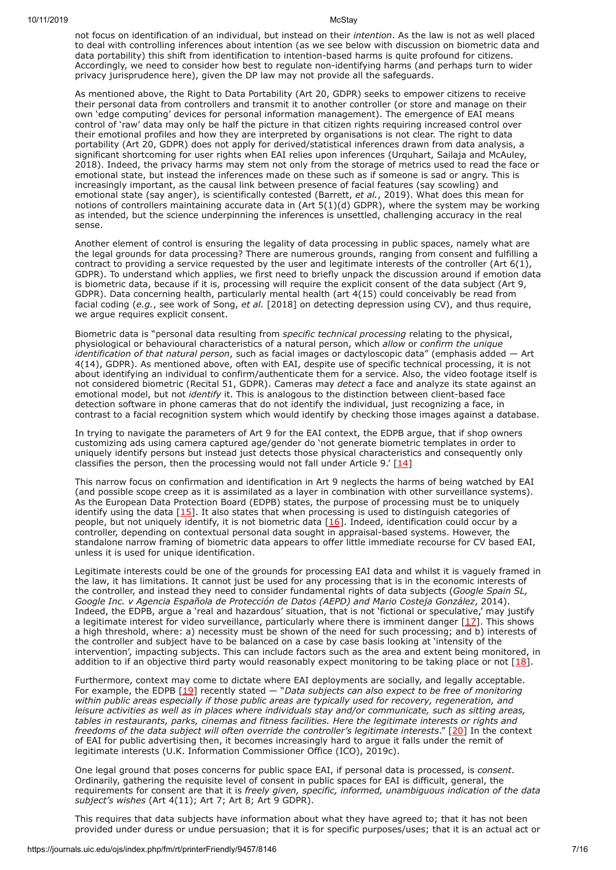not focus on identification of an individual, but instead on their *intention*. As the law is not as well placed to deal with controlling inferences about intention (as we see below with discussion on biometric data and data portability) this shift from identification to intention-based harms is quite profound for citizens. Accordingly, we need to consider how best to regulate non-identifying harms (and perhaps turn to wider privacy jurisprudence here), given the DP law may not provide all the safeguards.

As mentioned above, the Right to Data Portability (Art 20, GDPR) seeks to empower citizens to receive their personal data from controllers and transmit it to another controller (or store and manage on their own 'edge computing' devices for personal information management). The emergence of EAI means control of 'raw' data may only be half the picture in that citizen rights requiring increased control over their emotional profiles and how they are interpreted by organisations is not clear. The right to data portability (Art 20, GDPR) does not apply for derived/statistical inferences drawn from data analysis, a significant shortcoming for user rights when EAI relies upon inferences (Urquhart, Sailaja and McAuley, 2018). Indeed, the privacy harms may stem not only from the storage of metrics used to read the face or emotional state, but instead the inferences made on these such as if someone is sad or angry. This is increasingly important, as the causal link between presence of facial features (say scowling) and emotional state (say anger), is scientifically contested (Barrett, *et al.*, 2019). What does this mean for notions of controllers maintaining accurate data in (Art 5(1)(d) GDPR), where the system may be working as intended, but the science underpinning the inferences is unsettled, challenging accuracy in the real sense.

Another element of control is ensuring the legality of data processing in public spaces, namely what are the legal grounds for data processing? There are numerous grounds, ranging from consent and fulfilling a contract to providing a service requested by the user and legitimate interests of the controller (Art 6(1), GDPR). To understand which applies, we first need to briefly unpack the discussion around if emotion data is biometric data, because if it is, processing will require the explicit consent of the data subject (Art 9, GDPR). Data concerning health, particularly mental health (art 4(15) could conceivably be read from facial coding (*e.g.*, see work of Song, *et al.* [2018] on detecting depression using CV), and thus require, we argue requires explicit consent.

Biometric data is "personal data resulting from *specific technical processing* relating to the physical, physiological or behavioural characteristics of a natural person, which *allow* or *confirm the unique identification of that natural person*, such as facial images or dactyloscopic data" (emphasis added — Art 4(14), GDPR). As mentioned above, often with EAI, despite use of specific technical processing, it is not about identifying an individual to confirm/authenticate them for a service. Also, the video footage itself is not considered biometric (Recital 51, GDPR). Cameras may *detect* a face and analyze its state against an emotional model, but not *identify* it. This is analogous to the distinction between client-based face detection software in phone cameras that do not identify the individual, just recognizing a face, in contrast to a facial recognition system which would identify by checking those images against a database.

In trying to navigate the parameters of Art 9 for the EAI context, the EDPB argue, that if shop owners customizing ads using camera captured age/gender do 'not generate biometric templates in order to uniquely identify persons but instead just detects those physical characteristics and consequently only classifies the person, then the processing would not fall under Article 9.'  $[14]$  $[14]$ 

This narrow focus on confirmation and identification in Art 9 neglects the harms of being watched by EAI (and possible scope creep as it is assimilated as a layer in combination with other surveillance systems). As the European Data Protection Board (EDPB) states, the purpose of processing must be to uniquely identify using the data [[15\]](#page-11-14). It also states that when processing is used to distinguish categories of people, but not uniquely identify, it is not biometric data [[16](#page-11-15)]. Indeed, identification could occur by a controller, depending on contextual personal data sought in appraisal-based systems. However, the standalone narrow framing of biometric data appears to offer little immediate recourse for CV based EAI, unless it is used for unique identification.

Legitimate interests could be one of the grounds for processing EAI data and whilst it is vaguely framed in the law, it has limitations. It cannot just be used for any processing that is in the economic interests of the controller, and instead they need to consider fundamental rights of data subjects (*Google Spain SL, Google Inc. v Agencia Española de Protección de Datos (AEPD) and Mario Costeja González*, 2014). Indeed, the EDPB, argue a 'real and hazardous' situation, that is not 'fictional or speculative,' may justify a legitimate interest for video surveillance, particularly where there is imminent danger [[17](#page-11-16)]. This shows a high threshold, where: a) necessity must be shown of the need for such processing; and b) interests of the controller and subject have to be balanced on a case by case basis looking at 'intensity of the intervention', impacting subjects. This can include factors such as the area and extent being monitored, in addition to if an objective third party would reasonably expect monitoring to be taking place or not  $[18]$  $[18]$ .

Furthermore, context may come to dictate where EAI deployments are socially, and legally acceptable. For example, the EDPB [[19](#page-11-18)] recently stated — "*Data subjects can also expect to be free of monitoring within public areas especially if those public areas are typically used for recovery, regeneration, and leisure activities as well as in places where individuals stay and/or communicate, such as sitting areas, tables in restaurants, parks, cinemas and fitness facilities. Here the legitimate interests or rights and freedoms of the data subject will often override the controller's legitimate interests*." [\[20\]](#page-11-19) In the context of EAI for public advertising then, it becomes increasingly hard to argue it falls under the remit of legitimate interests (U.K. Information Commissioner Office (ICO), 2019c).

One legal ground that poses concerns for public space EAI, if personal data is processed, is *consent*. Ordinarily, gathering the requisite level of consent in public spaces for EAI is difficult, general, the requirements for consent are that it is *freely given, specific, informed, unambiguous indication of the data subject's wishes* (Art 4(11); Art 7; Art 8; Art 9 GDPR).

This requires that data subjects have information about what they have agreed to; that it has not been provided under duress or undue persuasion; that it is for specific purposes/uses; that it is an actual act or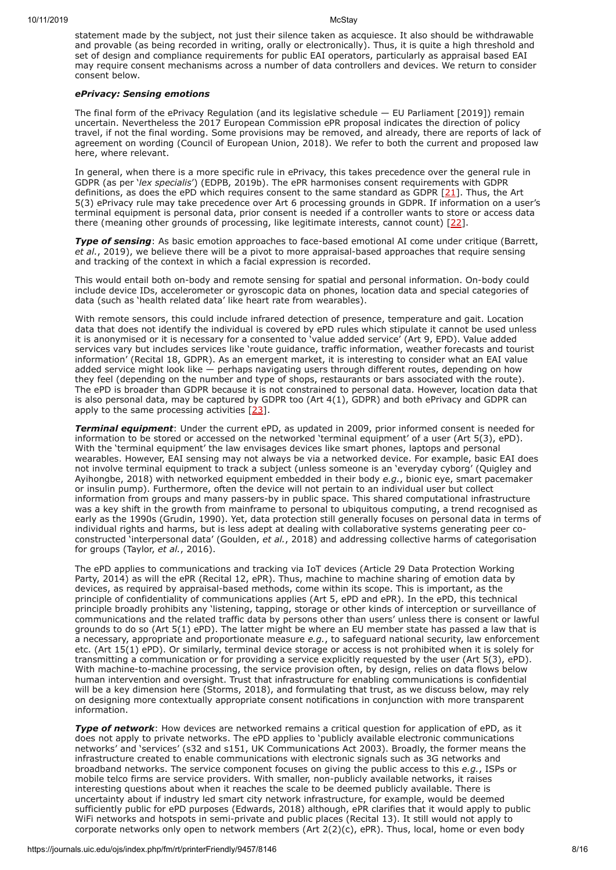statement made by the subject, not just their silence taken as acquiesce. It also should be withdrawable and provable (as being recorded in writing, orally or electronically). Thus, it is quite a high threshold and set of design and compliance requirements for public EAI operators, particularly as appraisal based EAI may require consent mechanisms across a number of data controllers and devices. We return to consider consent below.

#### *ePrivacy: Sensing emotions*

The final form of the ePrivacy Regulation (and its legislative schedule — EU Parliament [2019]) remain uncertain. Nevertheless the 2017 European Commission ePR proposal indicates the direction of policy travel, if not the final wording. Some provisions may be removed, and already, there are reports of lack of agreement on wording (Council of European Union, 2018). We refer to both the current and proposed law here, where relevant.

In general, when there is a more specific rule in ePrivacy, this takes precedence over the general rule in GDPR (as per '*lex specialis*') (EDPB, 2019b). The ePR harmonises consent requirements with GDPR definitions, as does the ePD which requires consent to the same standard as GDPR  $[21]$ . Thus, the Art 5(3) ePrivacy rule may take precedence over Art 6 processing grounds in GDPR. If information on a user's terminal equipment is personal data, prior consent is needed if a controller wants to store or access data there (meaning other grounds of processing, like legitimate interests, cannot count) [[22](#page-11-21)].

**Type of sensing**: As basic emotion approaches to face-based emotional AI come under critique (Barrett, *et al.*, 2019), we believe there will be a pivot to more appraisal-based approaches that require sensing and tracking of the context in which a facial expression is recorded.

This would entail both on-body and remote sensing for spatial and personal information. On-body could include device IDs, accelerometer or gyroscopic data on phones, location data and special categories of data (such as 'health related data' like heart rate from wearables).

With remote sensors, this could include infrared detection of presence, temperature and gait. Location data that does not identify the individual is covered by ePD rules which stipulate it cannot be used unless it is anonymised or it is necessary for a consented to 'value added service' (Art 9, EPD). Value added services vary but includes services like 'route guidance, traffic information, weather forecasts and tourist information' (Recital 18, GDPR). As an emergent market, it is interesting to consider what an EAI value added service might look like  $-$  perhaps navigating users through different routes, depending on how they feel (depending on the number and type of shops, restaurants or bars associated with the route). The ePD is broader than GDPR because it is not constrained to personal data. However, location data that is also personal data, may be captured by GDPR too (Art 4(1), GDPR) and both ePrivacy and GDPR can apply to the same processing activities  $[23]$  $[23]$  $[23]$ .

*Terminal equipment*: Under the current ePD, as updated in 2009, prior informed consent is needed for information to be stored or accessed on the networked 'terminal equipment' of a user (Art 5(3), ePD). With the 'terminal equipment' the law envisages devices like smart phones, laptops and personal wearables. However, EAI sensing may not always be via a networked device. For example, basic EAI does not involve terminal equipment to track a subject (unless someone is an 'everyday cyborg' (Quigley and Ayihongbe, 2018) with networked equipment embedded in their body *e.g.*, bionic eye, smart pacemaker or insulin pump). Furthermore, often the device will not pertain to an individual user but collect information from groups and many passers-by in public space. This shared computational infrastructure was a key shift in the growth from mainframe to personal to ubiquitous computing, a trend recognised as early as the 1990s (Grudin, 1990). Yet, data protection still generally focuses on personal data in terms of individual rights and harms, but is less adept at dealing with collaborative systems generating peer coconstructed 'interpersonal data' (Goulden, *et al.*, 2018) and addressing collective harms of categorisation for groups (Taylor, *et al.*, 2016).

The ePD applies to communications and tracking via IoT devices (Article 29 Data Protection Working Party, 2014) as will the ePR (Recital 12, ePR). Thus, machine to machine sharing of emotion data by devices, as required by appraisal-based methods, come within its scope. This is important, as the principle of confidentiality of communications applies (Art 5, ePD and ePR). In the ePD, this technical principle broadly prohibits any 'listening, tapping, storage or other kinds of interception or surveillance of communications and the related traffic data by persons other than users' unless there is consent or lawful grounds to do so (Art 5(1) ePD). The latter might be where an EU member state has passed a law that is a necessary, appropriate and proportionate measure *e.g.*, to safeguard national security, law enforcement etc. (Art 15(1) ePD). Or similarly, terminal device storage or access is not prohibited when it is solely for transmitting a communication or for providing a service explicitly requested by the user (Art 5(3), ePD). With machine-to-machine processing, the service provision often, by design, relies on data flows below human intervention and oversight. Trust that infrastructure for enabling communications is confidential will be a key dimension here (Storms, 2018), and formulating that trust, as we discuss below, may rely on designing more contextually appropriate consent notifications in conjunction with more transparent information.

*Type of network*: How devices are networked remains a critical question for application of ePD, as it does not apply to private networks. The ePD applies to 'publicly available electronic communications networks' and 'services' (s32 and s151, UK Communications Act 2003). Broadly, the former means the infrastructure created to enable communications with electronic signals such as 3G networks and broadband networks. The service component focuses on giving the public access to this *e.g.*, ISPs or mobile telco firms are service providers. With smaller, non-publicly available networks, it raises interesting questions about when it reaches the scale to be deemed publicly available. There is uncertainty about if industry led smart city network infrastructure, for example, would be deemed sufficiently public for ePD purposes (Edwards, 2018) although, ePR clarifies that it would apply to public WiFi networks and hotspots in semi-private and public places (Recital 13). It still would not apply to corporate networks only open to network members (Art 2(2)(c), ePR). Thus, local, home or even body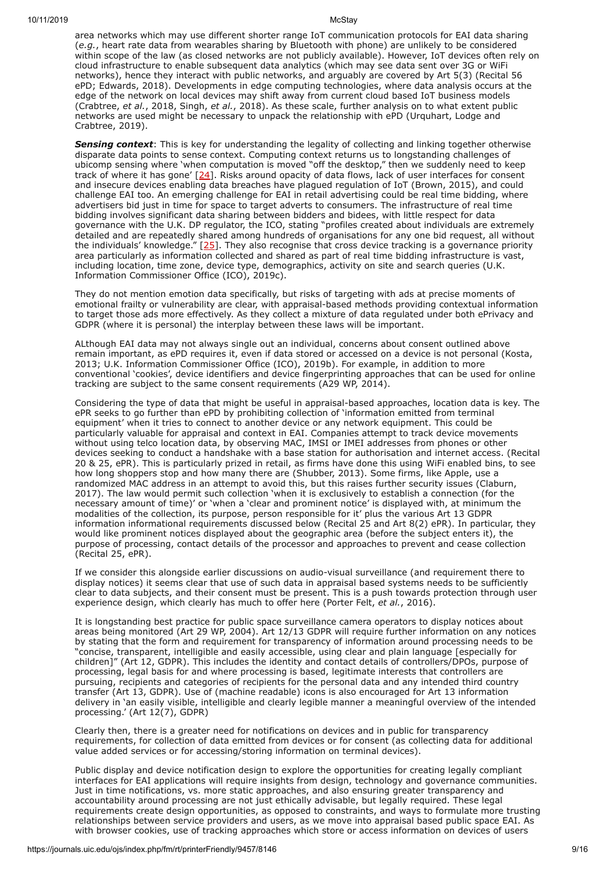area networks which may use different shorter range IoT communication protocols for EAI data sharing (*e.g.*, heart rate data from wearables sharing by Bluetooth with phone) are unlikely to be considered within scope of the law (as closed networks are not publicly available). However, IoT devices often rely on cloud infrastructure to enable subsequent data analytics (which may see data sent over 3G or WiFi networks), hence they interact with public networks, and arguably are covered by Art 5(3) (Recital 56 ePD; Edwards, 2018). Developments in edge computing technologies, where data analysis occurs at the edge of the network on local devices may shift away from current cloud based IoT business models (Crabtree, *et al.*, 2018, Singh, *et al.*, 2018). As these scale, further analysis on to what extent public networks are used might be necessary to unpack the relationship with ePD (Urquhart, Lodge and Crabtree, 2019).

**Sensing context**: This is key for understanding the legality of collecting and linking together otherwise disparate data points to sense context. Computing context returns us to longstanding challenges of ubicomp sensing where 'when computation is moved "off the desktop," then we suddenly need to keep track of where it has gone' [[24\]](#page-11-23). Risks around opacity of data flows, lack of user interfaces for consent and insecure devices enabling data breaches have plagued regulation of IoT (Brown, 2015), and could challenge EAI too. An emerging challenge for EAI in retail advertising could be real time bidding, where advertisers bid just in time for space to target adverts to consumers. The infrastructure of real time bidding involves significant data sharing between bidders and bidees, with little respect for data governance with the U.K. DP regulator, the ICO, stating "profiles created about individuals are extremely detailed and are repeatedly shared among hundreds of organisations for any one bid request, all without the individuals' knowledge."  $[25]$  $[25]$ . They also recognise that cross device tracking is a governance priority area particularly as information collected and shared as part of real time bidding infrastructure is vast, including location, time zone, device type, demographics, activity on site and search queries (U.K. Information Commissioner Office (ICO), 2019c).

They do not mention emotion data specifically, but risks of targeting with ads at precise moments of emotional frailty or vulnerability are clear, with appraisal-based methods providing contextual information to target those ads more effectively. As they collect a mixture of data regulated under both ePrivacy and GDPR (where it is personal) the interplay between these laws will be important.

ALthough EAI data may not always single out an individual, concerns about consent outlined above remain important, as ePD requires it, even if data stored or accessed on a device is not personal (Kosta, 2013; U.K. Information Commissioner Office (ICO), 2019b). For example, in addition to more conventional 'cookies', device identifiers and device fingerprinting approaches that can be used for online tracking are subject to the same consent requirements (A29 WP, 2014).

Considering the type of data that might be useful in appraisal-based approaches, location data is key. The ePR seeks to go further than ePD by prohibiting collection of 'information emitted from terminal equipment' when it tries to connect to another device or any network equipment. This could be particularly valuable for appraisal and context in EAI. Companies attempt to track device movements without using telco location data, by observing MAC, IMSI or IMEI addresses from phones or other devices seeking to conduct a handshake with a base station for authorisation and internet access. (Recital 20 & 25, ePR). This is particularly prized in retail, as firms have done this using WiFi enabled bins, to see how long shoppers stop and how many there are (Shubber, 2013). Some firms, like Apple, use a randomized MAC address in an attempt to avoid this, but this raises further security issues (Claburn, 2017). The law would permit such collection 'when it is exclusively to establish a connection (for the necessary amount of time)' or 'when a 'clear and prominent notice' is displayed with, at minimum the modalities of the collection, its purpose, person responsible for it' plus the various Art 13 GDPR information informational requirements discussed below (Recital 25 and Art 8(2) ePR). In particular, they would like prominent notices displayed about the geographic area (before the subject enters it), the purpose of processing, contact details of the processor and approaches to prevent and cease collection (Recital 25, ePR).

If we consider this alongside earlier discussions on audio-visual surveillance (and requirement there to display notices) it seems clear that use of such data in appraisal based systems needs to be sufficiently clear to data subjects, and their consent must be present. This is a push towards protection through user experience design, which clearly has much to offer here (Porter Felt, *et al.*, 2016).

It is longstanding best practice for public space surveillance camera operators to display notices about areas being monitored (Art 29 WP, 2004). Art 12/13 GDPR will require further information on any notices by stating that the form and requirement for transparency of information around processing needs to be "concise, transparent, intelligible and easily accessible, using clear and plain language [especially for children]" (Art 12, GDPR). This includes the identity and contact details of controllers/DPOs, purpose of processing, legal basis for and where processing is based, legitimate interests that controllers are pursuing, recipients and categories of recipients for the personal data and any intended third country transfer (Art 13, GDPR). Use of (machine readable) icons is also encouraged for Art 13 information delivery in 'an easily visible, intelligible and clearly legible manner a meaningful overview of the intended processing.' (Art 12(7), GDPR)

Clearly then, there is a greater need for notifications on devices and in public for transparency requirements, for collection of data emitted from devices or for consent (as collecting data for additional value added services or for accessing/storing information on terminal devices).

Public display and device notification design to explore the opportunities for creating legally compliant interfaces for EAI applications will require insights from design, technology and governance communities. Just in time notifications, vs. more static approaches, and also ensuring greater transparency and accountability around processing are not just ethically advisable, but legally required. These legal requirements create design opportunities, as opposed to constraints, and ways to formulate more trusting relationships between service providers and users, as we move into appraisal based public space EAI. As with browser cookies, use of tracking approaches which store or access information on devices of users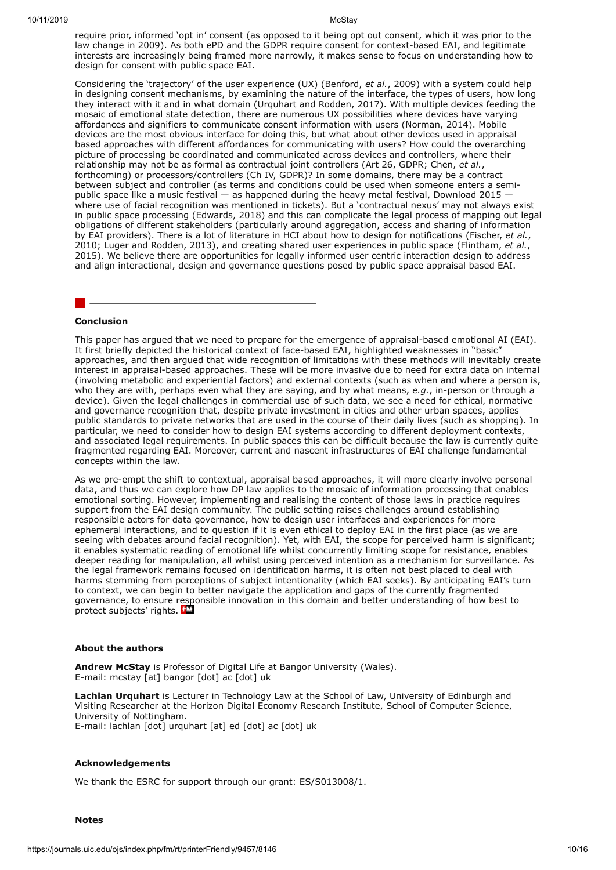require prior, informed 'opt in' consent (as opposed to it being opt out consent, which it was prior to the law change in 2009). As both ePD and the GDPR require consent for context-based EAI, and legitimate interests are increasingly being framed more narrowly, it makes sense to focus on understanding how to design for consent with public space EAI.

Considering the 'trajectory' of the user experience (UX) (Benford, *et al.*, 2009) with a system could help in designing consent mechanisms, by examining the nature of the interface, the types of users, how long they interact with it and in what domain (Urquhart and Rodden, 2017). With multiple devices feeding the mosaic of emotional state detection, there are numerous UX possibilities where devices have varying affordances and signifiers to communicate consent information with users (Norman, 2014). Mobile devices are the most obvious interface for doing this, but what about other devices used in appraisal based approaches with different affordances for communicating with users? How could the overarching picture of processing be coordinated and communicated across devices and controllers, where their relationship may not be as formal as contractual joint controllers (Art 26, GDPR; Chen, *et al.*, forthcoming) or processors/controllers (Ch IV, GDPR)? In some domains, there may be a contract between subject and controller (as terms and conditions could be used when someone enters a semipublic space like a music festival — as happened during the heavy metal festival, Download 2015 where use of facial recognition was mentioned in tickets). But a 'contractual nexus' may not always exist in public space processing (Edwards, 2018) and this can complicate the legal process of mapping out legal obligations of different stakeholders (particularly around aggregation, access and sharing of information by EAI providers). There is a lot of literature in HCI about how to design for notifications (Fischer, *et al.*, 2010; Luger and Rodden, 2013), and creating shared user experiences in public space (Flintham, *et al.*, 2015). We believe there are opportunities for legally informed user centric interaction design to address and align interactional, design and governance questions posed by public space appraisal based EAI.

#### <span id="page-10-0"></span>**Conclusion**

This paper has argued that we need to prepare for the emergence of appraisal-based emotional AI (EAI). It first briefly depicted the historical context of face-based EAI, highlighted weaknesses in "basic" approaches, and then argued that wide recognition of limitations with these methods will inevitably create interest in appraisal-based approaches. These will be more invasive due to need for extra data on internal (involving metabolic and experiential factors) and external contexts (such as when and where a person is, who they are with, perhaps even what they are saying, and by what means, *e.g.*, in-person or through a device). Given the legal challenges in commercial use of such data, we see a need for ethical, normative and governance recognition that, despite private investment in cities and other urban spaces, applies public standards to private networks that are used in the course of their daily lives (such as shopping). In particular, we need to consider how to design EAI systems according to different deployment contexts, and associated legal requirements. In public spaces this can be difficult because the law is currently quite fragmented regarding EAI. Moreover, current and nascent infrastructures of EAI challenge fundamental concepts within the law.

As we pre-empt the shift to contextual, appraisal based approaches, it will more clearly involve personal data, and thus we can explore how DP law applies to the mosaic of information processing that enables emotional sorting. However, implementing and realising the content of those laws in practice requires support from the EAI design community. The public setting raises challenges around establishing responsible actors for data governance, how to design user interfaces and experiences for more ephemeral interactions, and to question if it is even ethical to deploy EAI in the first place (as we are seeing with debates around facial recognition). Yet, with EAI, the scope for perceived harm is significant; it enables systematic reading of emotional life whilst concurrently limiting scope for resistance, enables deeper reading for manipulation, all whilst using perceived intention as a mechanism for surveillance. As the legal framework remains focused on identification harms, it is often not best placed to deal with harms stemming from perceptions of subject intentionality (which EAI seeks). By anticipating EAI's turn to context, we can begin to better navigate the application and gaps of the currently fragmented governance, to ensure responsible innovation in this domain and better understanding of how best to protect subjects' rights. FE

#### **About the authors**

**Andrew McStay** is Professor of Digital Life at Bangor University (Wales). E-mail: mcstay [at] bangor [dot] ac [dot] uk

**Lachlan Urquhart** is Lecturer in Technology Law at the School of Law, University of Edinburgh and Visiting Researcher at the Horizon Digital Economy Research Institute, School of Computer Science, University of Nottingham. E-mail: lachlan [dot] urquhart [at] ed [dot] ac [dot] uk

#### **Acknowledgements**

We thank the ESRC for support through our grant: ES/S013008/1.

**Notes**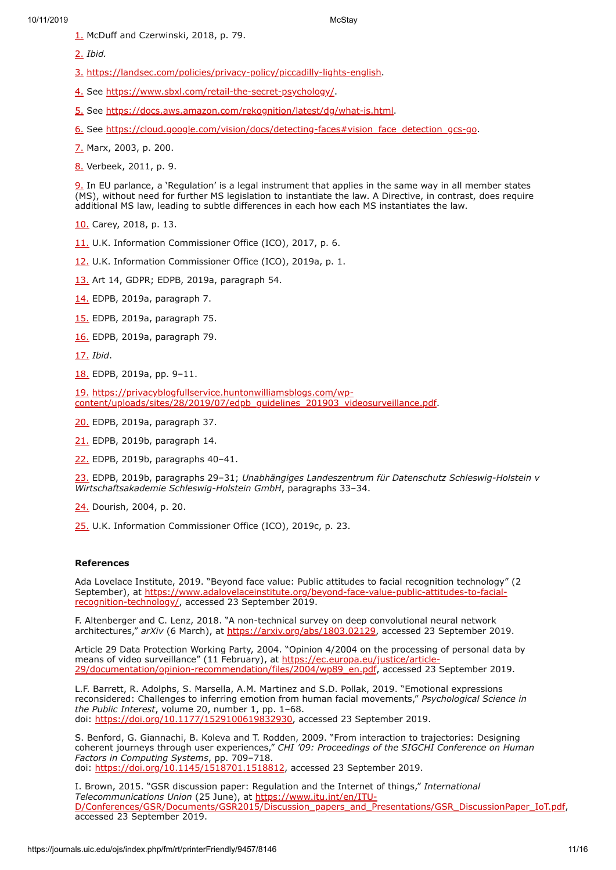- <span id="page-11-0"></span>[1.](#page-3-0) McDuff and Czerwinski, 2018, p. 79.
- <span id="page-11-1"></span>[2.](#page-3-1) *Ibid.*
- <span id="page-11-2"></span>[3.](#page-4-2) [https://landsec.com/policies/privacy-policy/piccadilly-lights-english.](https://landsec.com/policies/privacy-policy/piccadilly-lights-english)
- <span id="page-11-3"></span>[4.](#page-4-3) See <https://www.sbxl.com/retail-the-secret-psychology/>.
- <span id="page-11-4"></span>[5.](#page-4-4) See <https://docs.aws.amazon.com/rekognition/latest/dg/what-is.html>.
- <span id="page-11-5"></span>[6.](#page-4-5) See [https://cloud.google.com/vision/docs/detecting-faces#vision\\_face\\_detection\\_gcs-go](https://cloud.google.com/vision/docs/detecting-faces#vision_face_detection_gcs-go).
- <span id="page-11-6"></span>[7.](#page-4-6) Marx, 2003, p. 200.
- <span id="page-11-7"></span>[8.](#page-5-1) Verbeek, 2011, p. 9.

<span id="page-11-8"></span>[9.](#page-5-2) In EU parlance, a 'Regulation' is a legal instrument that applies in the same way in all member states (MS), without need for further MS legislation to instantiate the law. A Directive, in contrast, does require additional MS law, leading to subtle differences in each how each MS instantiates the law.

- <span id="page-11-9"></span>[10.](https://journals.uic.edu/ojs/index.php/fm/rt/printerFriendly/9457/10a) Carey, 2018, p. 13.
- <span id="page-11-10"></span>[11.](https://journals.uic.edu/ojs/index.php/fm/rt/printerFriendly/9457/11a) U.K. Information Commissioner Office (ICO), 2017, p. 6.
- <span id="page-11-11"></span>[12.](https://journals.uic.edu/ojs/index.php/fm/rt/printerFriendly/9457/12a) U.K. Information Commissioner Office (ICO), 2019a, p. 1.
- <span id="page-11-12"></span>[13.](https://journals.uic.edu/ojs/index.php/fm/rt/printerFriendly/9457/13a) Art 14, GDPR; EDPB, 2019a, paragraph 54.
- <span id="page-11-13"></span>[14.](https://journals.uic.edu/ojs/index.php/fm/rt/printerFriendly/9457/14a) EDPB, 2019a, paragraph 7.
- <span id="page-11-14"></span>[15.](https://journals.uic.edu/ojs/index.php/fm/rt/printerFriendly/9457/15a) EDPB, 2019a, paragraph 75.
- <span id="page-11-15"></span>[16.](https://journals.uic.edu/ojs/index.php/fm/rt/printerFriendly/9457/16a) EDPB, 2019a, paragraph 79.
- <span id="page-11-16"></span>[17.](https://journals.uic.edu/ojs/index.php/fm/rt/printerFriendly/9457/17a) *Ibid*.
- <span id="page-11-17"></span>[18.](https://journals.uic.edu/ojs/index.php/fm/rt/printerFriendly/9457/18a) EDPB, 2019a, pp. 9–11.

<span id="page-11-18"></span>[19.](https://journals.uic.edu/ojs/index.php/fm/rt/printerFriendly/9457/19a) https://privacyblogfullservice.huntonwilliamsblogs.com/wp[content/uploads/sites/28/2019/07/edpb\\_guidelines\\_201903\\_videosurveillance.pdf](https://privacyblogfullservice.huntonwilliamsblogs.com/wp-content/uploads/sites/28/2019/07/edpb_guidelines_201903_videosurveillance.pdf).

- <span id="page-11-19"></span>[20.](https://journals.uic.edu/ojs/index.php/fm/rt/printerFriendly/9457/20a) EDPB, 2019a, paragraph 37.
- <span id="page-11-20"></span>[21.](https://journals.uic.edu/ojs/index.php/fm/rt/printerFriendly/9457/21a) EDPB, 2019b, paragraph 14.
- <span id="page-11-21"></span>[22.](https://journals.uic.edu/ojs/index.php/fm/rt/printerFriendly/9457/22a) EDPB, 2019b, paragraphs 40–41.

<span id="page-11-22"></span>[23.](https://journals.uic.edu/ojs/index.php/fm/rt/printerFriendly/9457/23a) EDPB, 2019b, paragraphs 29–31; *Unabhängiges Landeszentrum für Datenschutz Schleswig-Holstein v Wirtschaftsakademie Schleswig-Holstein GmbH*, paragraphs 33–34.

<span id="page-11-23"></span>[24.](https://journals.uic.edu/ojs/index.php/fm/rt/printerFriendly/9457/24a) Dourish, 2004, p. 20.

<span id="page-11-24"></span>[25.](https://journals.uic.edu/ojs/index.php/fm/rt/printerFriendly/9457/25a) U.K. Information Commissioner Office (ICO), 2019c, p. 23.

### **References**

Ada Lovelace Institute, 2019. "Beyond face value: Public attitudes to facial recognition technology" (2 September), at [https://www.adalovelaceinstitute.org/beyond-face-value-public-attitudes-to-facial](https://www.adalovelaceinstitute.org/beyond-face-value-public-attitudes-to-facial-recognition-technology/)recognition-technology/, accessed 23 September 2019.

F. Altenberger and C. Lenz, 2018. "A non-technical survey on deep convolutional neural network architectures," *arXiv* (6 March), at <https://arxiv.org/abs/1803.02129>, accessed 23 September 2019.

Article 29 Data Protection Working Party, 2004. "Opinion 4/2004 on the processing of personal data by means of video surveillance" (11 February), at https://ec.europa.eu/justice/article-[29/documentation/opinion-recommendation/files/2004/wp89\\_en.pdf, accessed 23 S](https://ec.europa.eu/justice/article-29/documentation/opinion-recommendation/files/2004/wp89_en.pdf)eptember 2019.

L.F. Barrett, R. Adolphs, S. Marsella, A.M. Martinez and S.D. Pollak, 2019. "Emotional expressions reconsidered: Challenges to inferring emotion from human facial movements," *Psychological Science in the Public Interest*, volume 20, number 1, pp. 1–68. doi: [https://doi.org/10.1177/1529100619832930,](https://doi.org/10.1177/1529100619832930) accessed 23 September 2019.

S. Benford, G. Giannachi, B. Koleva and T. Rodden, 2009. "From interaction to trajectories: Designing coherent journeys through user experiences," *CHI '09: Proceedings of the SIGCHI Conference on Human Factors in Computing Systems*, pp. 709–718. doi: <https://doi.org/10.1145/1518701.1518812>, accessed 23 September 2019.

I. Brown, 2015. "GSR discussion paper: Regulation and the Internet of things," *International Telecommunications Union* (25 June), at https://www.itu.int/en/ITU-[D/Conferences/GSR/Documents/GSR2015/Discussion\\_papers\\_and\\_Presentations/GSR\\_DiscussionPaper\\_IoT.pdf,](https://www.itu.int/en/ITU-D/Conferences/GSR/Documents/GSR2015/Discussion_papers_and_Presentations/GSR_DiscussionPaper_IoT.pdf) accessed 23 September 2019.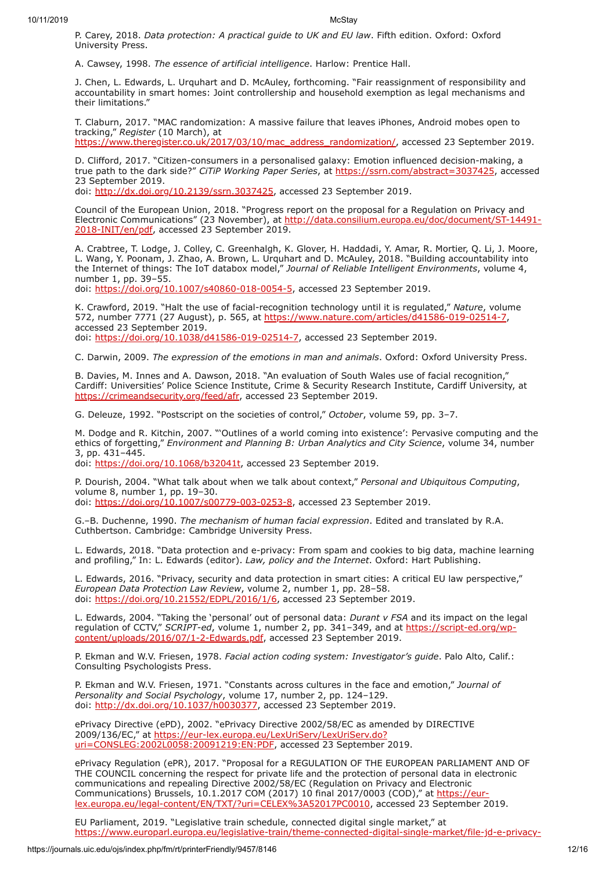P. Carey, 2018. *Data protection: A practical guide to UK and EU law*. Fifth edition. Oxford: Oxford University Press.

A. Cawsey, 1998. *The essence of artificial intelligence*. Harlow: Prentice Hall.

J. Chen, L. Edwards, L. Urquhart and D. McAuley, forthcoming. "Fair reassignment of responsibility and accountability in smart homes: Joint controllership and household exemption as legal mechanisms and their limitations."

T. Claburn, 2017. "MAC randomization: A massive failure that leaves iPhones, Android mobes open to tracking," *Register* (10 March), at [https://www.theregister.co.uk/2017/03/10/mac\\_address\\_randomization/](https://www.theregister.co.uk/2017/03/10/mac_address_randomization/), accessed 23 September 2019.

D. Clifford, 2017. "Citizen-consumers in a personalised galaxy: Emotion influenced decision-making, a true path to the dark side?" *CiTiP Working Paper Series*, at [https://ssrn.com/abstract=3037425,](https://ssrn.com/abstract=3037425) accessed 23 September 2019.

doi: [http://dx.doi.org/10.2139/ssrn.3037425,](http://dx.doi.org/10.2139/ssrn.3037425) accessed 23 September 2019.

Council of the European Union, 2018. "Progress report on the proposal for a Regulation on Privacy and Electronic Communications" (23 November), at [http://data.consilium.europa.eu/doc/document/ST-14491-](http://data.consilium.europa.eu/doc/document/ST-14491-2018-INIT/en/pdf) 2018-INIT/en/pdf, accessed 23 September 2019.

A. Crabtree, T. Lodge, J. Colley, C. Greenhalgh, K. Glover, H. Haddadi, Y. Amar, R. Mortier, Q. Li, J. Moore, L. Wang, Y. Poonam, J. Zhao, A. Brown, L. Urquhart and D. McAuley, 2018. "Building accountability into the Internet of things: The IoT databox model," *Journal of Reliable Intelligent Environments*, volume 4, number 1, pp. 39–55.

doi: [https://doi.org/10.1007/s40860-018-0054-5,](https://doi.org/10.1007/s40860-018-0054-5) accessed 23 September 2019.

K. Crawford, 2019. "Halt the use of facial-recognition technology until it is regulated," *Nature*, volume 572, number 7771 (27 August), p. 565, at [https://www.nature.com/articles/d41586-019-02514-7,](https://www.nature.com/articles/d41586-019-02514-7) accessed 23 September 2019. doi: [https://doi.org/10.1038/d41586-019-02514-7,](https://doi.org/10.1038/d41586-019-02514-7) accessed 23 September 2019.

C. Darwin, 2009. *The expression of the emotions in man and animals*. Oxford: Oxford University Press.

B. Davies, M. Innes and A. Dawson, 2018. "An evaluation of South Wales use of facial recognition," Cardiff: Universities' Police Science Institute, Crime & Security Research Institute, Cardiff University, at [https://crimeandsecurity.org/feed/afr,](https://crimeandsecurity.org/feed/afr) accessed 23 September 2019.

G. Deleuze, 1992. "Postscript on the societies of control," *October*, volume 59, pp. 3–7.

M. Dodge and R. Kitchin, 2007. "'Outlines of a world coming into existence': Pervasive computing and the ethics of forgetting," *Environment and Planning B: Urban Analytics and City Science*, volume 34, number 3, pp. 431–445.

doi: <https://doi.org/10.1068/b32041t>, accessed 23 September 2019.

P. Dourish, 2004. "What talk about when we talk about context," *Personal and Ubiquitous Computing*, volume 8, number 1, pp. 19–30.

doi: [https://doi.org/10.1007/s00779-003-0253-8,](https://doi.org/10.1007/s00779-003-0253-8) accessed 23 September 2019.

G.–B. Duchenne, 1990. *The mechanism of human facial expression*. Edited and translated by R.A. Cuthbertson. Cambridge: Cambridge University Press.

L. Edwards, 2018. "Data protection and e-privacy: From spam and cookies to big data, machine learning and profiling," In: L. Edwards (editor). *Law, policy and the Internet*. Oxford: Hart Publishing.

L. Edwards, 2016. "Privacy, security and data protection in smart cities: A critical EU law perspective," *European Data Protection Law Review*, volume 2, number 1, pp. 28–58. doi: [https://doi.org/10.21552/EDPL/2016/1/6,](https://doi.org/10.21552/EDPL/2016/1/6) accessed 23 September 2019.

L. Edwards, 2004. "Taking the 'personal' out of personal data: *Durant v FSA* and its impact on the legal regulation of CCTV," *SCRIPT-ed*, volume 1, number 2, pp. 341–349, and at https://script-ed.org/wp[content/uploads/2016/07/1-2-Edwards.pdf, accessed 23 September 2019.](https://script-ed.org/wp-content/uploads/2016/07/1-2-Edwards.pdf)

P. Ekman and W.V. Friesen, 1978. *Facial action coding system: Investigator's guide*. Palo Alto, Calif.: Consulting Psychologists Press.

P. Ekman and W.V. Friesen, 1971. "Constants across cultures in the face and emotion," *Journal of Personality and Social Psychology*, volume 17, number 2, pp. 124–129. doi: [http://dx.doi.org/10.1037/h0030377,](http://dx.doi.org/10.1037/h0030377) accessed 23 September 2019.

ePrivacy Directive (ePD), 2002. "ePrivacy Directive 2002/58/EC as amended by DIRECTIVE 2009/136/EC," at https://eur-lex.europa.eu/LexUriServ/LexUriServ.do? [uri=CONSLEG:2002L0058:20091219:EN:PDF, accessed 23 September 2](https://eur-lex.europa.eu/LexUriServ/LexUriServ.do?uri=CONSLEG:2002L0058:20091219:EN:PDF)019.

ePrivacy Regulation (ePR), 2017. "Proposal for a REGULATION OF THE EUROPEAN PARLIAMENT AND OF THE COUNCIL concerning the respect for private life and the protection of personal data in electronic communications and repealing Directive 2002/58/EC (Regulation on Privacy and Electronic Communications) Brussels, 10.1.2017 COM (2017) 10 final 2017/0003 (COD)," at https://eur[lex.europa.eu/legal-content/EN/TXT/?uri=CELEX%3A52017PC0010, accessed 23 September 20](https://eur-lex.europa.eu/legal-content/EN/TXT/?uri=CELEX%3A52017PC0010)19.

EU Parliament, 2019. "Legislative train schedule, connected digital single market," at [https://www.europarl.europa.eu/legislative-train/theme-connected-digital-single-market/file-jd-e-privacy-](ttps://www.europarl.europa.eu/legislative-train/theme-connected-digital-single-market/file-jd-e-privacy-reform)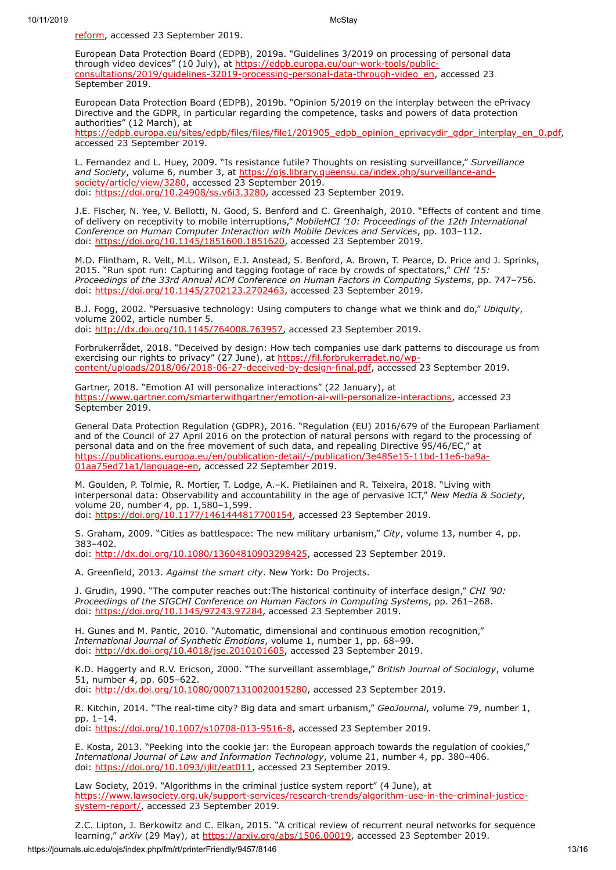[reform, accessed 23 September 2019.](ttps://www.europarl.europa.eu/legislative-train/theme-connected-digital-single-market/file-jd-e-privacy-reform)

European Data Protection Board (EDPB), 2019a. "Guidelines 3/2019 on processing of personal data through video devices" (10 July), at https://edpb.europa.eu/our-work-tools/public[consultations/2019/guidelines-32019-processing-personal-data-through-video\\_en,](https://edpb.europa.eu/our-work-tools/public-consultations/2019/guidelines-32019-processing-personal-data-through-video_en) accessed 23 September 2019.

European Data Protection Board (EDPB), 2019b. "Opinion 5/2019 on the interplay between the ePrivacy Directive and the GDPR, in particular regarding the competence, tasks and powers of data protection authorities" (12 March), at [https://edpb.europa.eu/sites/edpb/files/files/file1/201905\\_edpb\\_opinion\\_eprivacydir\\_gdpr\\_interplay\\_en\\_0.pdf](https://edpb.europa.eu/sites/edpb/files/files/file1/201905_edpb_opinion_eprivacydir_gdpr_interplay_en_0.pdf),

accessed 23 September 2019.

L. Fernandez and L. Huey, 2009. "Is resistance futile? Thoughts on resisting surveillance," *Surveillance* and Society, volume 6, number 3, at [https://ojs.library.queensu.ca/index.php/surveillance-and](https://ojs.library.queensu.ca/index.php/surveillance-and-society/article/view/3280)society/article/view/3280, accessed 23 September 2019. doi: [https://doi.org/10.24908/ss.v6i3.3280,](https://doi.org/10.24908/ss.v6i3.3280) accessed 23 September 2019.

J.E. Fischer, N. Yee, V. Bellotti, N. Good, S. Benford and C. Greenhalgh, 2010. "Effects of content and time of delivery on receptivity to mobile interruptions," *MobileHCI '10: Proceedings of the 12th International Conference on Human Computer Interaction with Mobile Devices and Services*, pp. 103–112. doi: <https://doi.org/10.1145/1851600.1851620>, accessed 23 September 2019.

M.D. Flintham, R. Velt, M.L. Wilson, E.J. Anstead, S. Benford, A. Brown, T. Pearce, D. Price and J. Sprinks, 2015. "Run spot run: Capturing and tagging footage of race by crowds of spectators," *CHI '15: Proceedings of the 33rd Annual ACM Conference on Human Factors in Computing Systems*, pp. 747–756. doi: <https://doi.org/10.1145/2702123.2702463>, accessed 23 September 2019.

B.J. Fogg, 2002. "Persuasive technology: Using computers to change what we think and do," *Ubiquity*, volume 2002, article number 5. doi: [http://dx.doi.org/10.1145/764008.763957,](http://dx.doi.org/10.1145/764008.763957) accessed 23 September 2019.

Forbrukerrådet, 2018. "Deceived by design: How tech companies use dark patterns to discourage us from exercising our rights to privacy" (27 June), at https://fil.forbrukerradet.no/wp[content/uploads/2018/06/2018-06-27-deceived-by-design-final.pdf, accessed 2](https://fil.forbrukerradet.no/wp-content/uploads/2018/06/2018-06-27-deceived-by-design-final.pdf)3 September 2019.

Gartner, 2018. "Emotion AI will personalize interactions" (22 January), at <https://www.gartner.com/smarterwithgartner/emotion-ai-will-personalize-interactions>, accessed 23 September 2019.

General Data Protection Regulation (GDPR), 2016. "Regulation (EU) 2016/679 of the European Parliament and of the Council of 27 April 2016 on the protection of natural persons with regard to the processing of personal data and on the free movement of such data, and repealing Directive 95/46/EC," at [https://publications.europa.eu/en/publication-detail/-/publication/3e485e15-11bd-11e6-ba9a-](https://publications.europa.eu/en/publication-detail/-/publication/3e485e15-11bd-11e6-ba9a-01aa75ed71a1/language-en)01aa75ed71a1/language-en, accessed 22 September 2019.

M. Goulden, P. Tolmie, R. Mortier, T. Lodge, A.–K. Pietilainen and R. Teixeira, 2018. "Living with interpersonal data: Observability and accountability in the age of pervasive ICT," *New Media & Society*, volume 20, number 4, pp. 1,580–1,599. doi: [https://doi.org/10.1177/1461444817700154,](https://doi.org/10.1177/1461444817700154) accessed 23 September 2019.

S. Graham, 2009. "Cities as battlespace: The new military urbanism," *City*, volume 13, number 4, pp. 383–402.

doi: [http://dx.doi.org/10.1080/13604810903298425,](http://dx.doi.org/10.1080/13604810903298425) accessed 23 September 2019.

A. Greenfield, 2013. *Against the smart city*. New York: Do Projects.

J. Grudin, 1990. "The computer reaches out:The historical continuity of interface design," *CHI '90: Proceedings of the SIGCHI Conference on Human Factors in Computing Systems*, pp. 261–268. doi: <https://doi.org/10.1145/97243.97284>, accessed 23 September 2019.

H. Gunes and M. Pantic, 2010. "Automatic, dimensional and continuous emotion recognition," *International Journal of Synthetic Emotions*, volume 1, number 1, pp. 68–99. doi: [http://dx.doi.org/10.4018/jse.2010101605,](http://dx.doi.org/10.4018/jse.2010101605) accessed 23 September 2019.

K.D. Haggerty and R.V. Ericson, 2000. "The surveillant assemblage," *British Journal of Sociology*, volume 51, number 4, pp. 605–622.

doi: [http://dx.doi.org/10.1080/00071310020015280,](http://dx.doi.org/10.1080/00071310020015280) accessed 23 September 2019.

R. Kitchin, 2014. "The real-time city? Big data and smart urbanism," *GeoJournal*, volume 79, number 1, pp. 1–14.

doi: [https://doi.org/10.1007/s10708-013-9516-8,](https://doi.org/10.1007/s10708-013-9516-8) accessed 23 September 2019.

E. Kosta, 2013. "Peeking into the cookie jar: the European approach towards the regulation of cookies," *International Journal of Law and Information Technology*, volume 21, number 4, pp. 380–406. doi: [https://doi.org/10.1093/ijlit/eat011,](https://doi.org/10.1093/ijlit/eat011) accessed 23 September 2019.

Law Society, 2019. "Algorithms in the criminal justice system report" (4 June), at [https://www.lawsociety.org.uk/support-services/research-trends/algorithm-use-in-the-criminal-justice](https://www.lawsociety.org.uk/support-services/research-trends/algorithm-use-in-the-criminal-justice-system-report/)system-report/, accessed 23 September 2019.

Z.C. Lipton, J. Berkowitz and C. Elkan, 2015. "A critical review of recurrent neural networks for sequence learning," arXiv (29 May), at [https://arxiv.org/abs/1506.00019,](https://arxiv.org/abs/1506.00019) accessed 23 September 2019.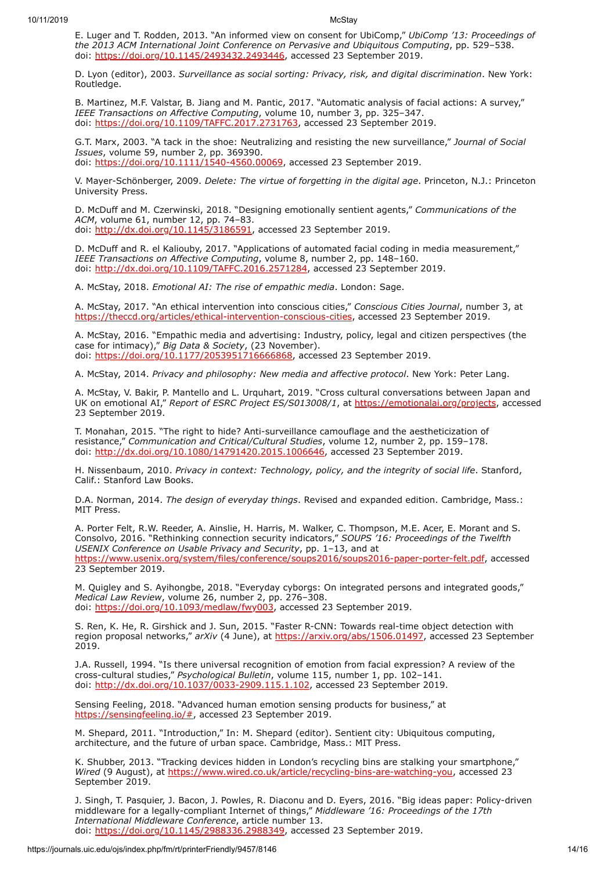E. Luger and T. Rodden, 2013. "An informed view on consent for UbiComp," *UbiComp '13: Proceedings of the 2013 ACM International Joint Conference on Pervasive and Ubiquitous Computing*, pp. 529–538. doi: <https://doi.org/10.1145/2493432.2493446>, accessed 23 September 2019.

D. Lyon (editor), 2003. *Surveillance as social sorting: Privacy, risk, and digital discrimination*. New York: Routledge.

B. Martinez, M.F. Valstar, B. Jiang and M. Pantic, 2017. "Automatic analysis of facial actions: A survey," *IEEE Transactions on Affective Computing*, volume 10, number 3, pp. 325–347. doi: <https://doi.org/10.1109/TAFFC.2017.2731763>, accessed 23 September 2019.

G.T. Marx, 2003. "A tack in the shoe: Neutralizing and resisting the new surveillance," *Journal of Social Issues*, volume 59, number 2, pp. 369390. doi: [https://doi.org/10.1111/1540-4560.00069,](https://doi.org/10.1111/1540-4560.00069) accessed 23 September 2019.

V. Mayer-Schönberger, 2009. *Delete: The virtue of forgetting in the digital age*. Princeton, N.J.: Princeton University Press.

D. McDuff and M. Czerwinski, 2018. "Designing emotionally sentient agents," *Communications of the ACM*, volume 61, number 12, pp. 74–83. doi: [http://dx.doi.org/10.1145/3186591,](http://dx.doi.org/10.1145/3186591) accessed 23 September 2019.

D. McDuff and R. el Kaliouby, 2017. "Applications of automated facial coding in media measurement," *IEEE Transactions on Affective Computing*, volume 8, number 2, pp. 148–160. doi: [http://dx.doi.org/10.1109/TAFFC.2016.2571284,](http://dx.doi.org/10.1109/TAFFC.2016.2571284) accessed 23 September 2019.

A. McStay, 2018. *Emotional AI: The rise of empathic media*. London: Sage.

A. McStay, 2017. "An ethical intervention into conscious cities," *Conscious Cities Journal*, number 3, at <https://theccd.org/articles/ethical-intervention-conscious-cities>, accessed 23 September 2019.

A. McStay, 2016. "Empathic media and advertising: Industry, policy, legal and citizen perspectives (the case for intimacy)," *Big Data & Society*, (23 November). doi: [https://doi.org/10.1177/2053951716666868,](https://doi.org/10.1177/2053951716666868) accessed 23 September 2019.

A. McStay, 2014. *Privacy and philosophy: New media and affective protocol*. New York: Peter Lang.

A. McStay, V. Bakir, P. Mantello and L. Urquhart, 2019. "Cross cultural conversations between Japan and UK on emotional AI," *Report of ESRC Project ES/S013008/1*, at [https://emotionalai.org/projects,](https://emotionalai.org/projects) accessed 23 September 2019.

T. Monahan, 2015. "The right to hide? Anti-surveillance camouflage and the aestheticization of resistance," *Communication and Critical/Cultural Studies*, volume 12, number 2, pp. 159–178. doi: <http://dx.doi.org/10.1080/14791420.2015.1006646>, accessed 23 September 2019.

H. Nissenbaum, 2010. *Privacy in context: Technology, policy, and the integrity of social life*. Stanford, Calif.: Stanford Law Books.

D.A. Norman, 2014. *The design of everyday things*. Revised and expanded edition. Cambridge, Mass.: MIT Press.

A. Porter Felt, R.W. Reeder, A. Ainslie, H. Harris, M. Walker, C. Thompson, M.E. Acer, E. Morant and S. Consolvo, 2016. "Rethinking connection security indicators," *SOUPS '16: Proceedings of the Twelfth USENIX Conference on Usable Privacy and Security*, pp. 1–13, and at <https://www.usenix.org/system/files/conference/soups2016/soups2016-paper-porter-felt.pdf>, accessed 23 September 2019.

M. Quigley and S. Ayihongbe, 2018. "Everyday cyborgs: On integrated persons and integrated goods," *Medical Law Review*, volume 26, number 2, pp. 276–308. doi: [https://doi.org/10.1093/medlaw/fwy003,](https://doi.org/10.1093/medlaw/fwy003) accessed 23 September 2019.

S. Ren, K. He, R. Girshick and J. Sun, 2015. "Faster R-CNN: Towards real-time object detection with region proposal networks," *arXiv* (4 June), at <https://arxiv.org/abs/1506.01497>, accessed 23 September 2019.

J.A. Russell, 1994. "Is there universal recognition of emotion from facial expression? A review of the cross-cultural studies," *Psychological Bulletin*, volume 115, number 1, pp. 102–141. doi: <http://dx.doi.org/10.1037/0033-2909.115.1.102>, accessed 23 September 2019.

Sensing Feeling, 2018. "Advanced human emotion sensing products for business," at [https://sensingfeeling.io/#,](https://sensingfeeling.io/#) accessed 23 September 2019.

M. Shepard, 2011. "Introduction," In: M. Shepard (editor). Sentient city: Ubiquitous computing, architecture, and the future of urban space. Cambridge, Mass.: MIT Press.

K. Shubber, 2013. "Tracking devices hidden in London's recycling bins are stalking your smartphone," Wired (9 August), at [https://www.wired.co.uk/article/recycling-bins-are-watching-you,](https://www.wired.co.uk/article/recycling-bins-are-watching-you) accessed 23 September 2019.

J. Singh, T. Pasquier, J. Bacon, J. Powles, R. Diaconu and D. Eyers, 2016. "Big ideas paper: Policy-driven middleware for a legally-compliant Internet of things," *Middleware '16: Proceedings of the 17th International Middleware Conference*, article number 13. doi: <https://doi.org/10.1145/2988336.2988349>, accessed 23 September 2019.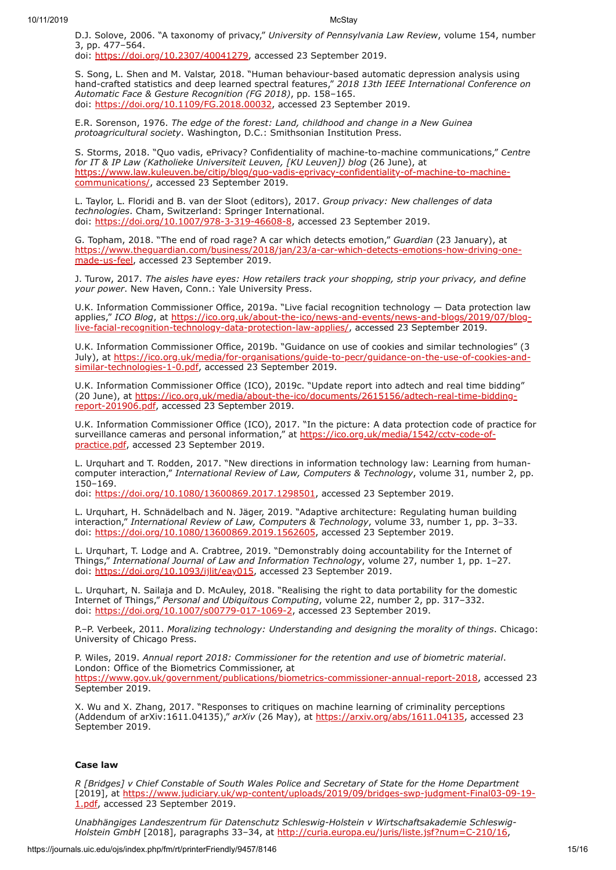D.J. Solove, 2006. "A taxonomy of privacy," *University of Pennsylvania Law Review*, volume 154, number 3, pp. 477–564.

doi: [https://doi.org/10.2307/40041279,](https://doi.org/10.2307/40041279) accessed 23 September 2019.

S. Song, L. Shen and M. Valstar, 2018. "Human behaviour-based automatic depression analysis using hand-crafted statistics and deep learned spectral features," *2018 13th IEEE International Conference on Automatic Face & Gesture Recognition (FG 2018)*, pp. 158–165. doi: [https://doi.org/10.1109/FG.2018.00032,](https://doi.org/10.1109/FG.2018.00032) accessed 23 September 2019.

E.R. Sorenson, 1976. *The edge of the forest: Land, childhood and change in a New Guinea protoagricultural society*. Washington, D.C.: Smithsonian Institution Press.

S. Storms, 2018. "Quo vadis, ePrivacy? Confidentiality of machine-to-machine communications," *Centre for IT & IP Law (Katholieke Universiteit Leuven, [KU Leuven]) blog* (26 June), at [https://www.law.kuleuven.be/citip/blog/quo-vadis-eprivacy-confidentiality-of-machine-to-machine](https://www.law.kuleuven.be/citip/blog/quo-vadis-eprivacy-confidentiality-of-machine-to-machine-communications/)communications/, accessed 23 September 2019.

L. Taylor, L. Floridi and B. van der Sloot (editors), 2017. *Group privacy: New challenges of data technologies*. Cham, Switzerland: Springer International. doi: [https://doi.org/10.1007/978-3-319-46608-8,](https://doi.org/10.1007/978-3-319-46608-8) accessed 23 September 2019.

G. Topham, 2018. "The end of road rage? A car which detects emotion," *Guardian* (23 January), at [https://www.theguardian.com/business/2018/jan/23/a-car-which-detects-emotions-how-driving-one](https://www.theguardian.com/business/2018/jan/23/a-car-which-detects-emotions-how-driving-one-made-us-feel)made-us-feel, accessed 23 September 2019.

J. Turow, 2017. *The aisles have eyes: How retailers track your shopping, strip your privacy, and define your power*. New Haven, Conn.: Yale University Press.

U.K. Information Commissioner Office, 2019a. "Live facial recognition technology — Data protection law applies," *ICO Blog*, at https://ico.org.uk/about-the-ico/news-and-events/news-and-blogs/2019/07/blog[live-facial-recognition-technology-data-protection-law-applies/, accessed 23 September 2019.](https://ico.org.uk/about-the-ico/news-and-events/news-and-blogs/2019/07/blog-live-facial-recognition-technology-data-protection-law-applies/)

U.K. Information Commissioner Office, 2019b. "Guidance on use of cookies and similar technologies" (3 July), at [https://ico.org.uk/media/for-organisations/guide-to-pecr/guidance-on-the-use-of-cookies-and](https://ico.org.uk/media/for-organisations/guide-to-pecr/guidance-on-the-use-of-cookies-and-similar-technologies-1-0.pdf)similar-technologies-1-0.pdf, accessed 23 September 2019.

U.K. Information Commissioner Office (ICO), 2019c. "Update report into adtech and real time bidding" (20 June), at [https://ico.org.uk/media/about-the-ico/documents/2615156/adtech-real-time-bidding](https://ico.org.uk/media/about-the-ico/documents/2615156/adtech-real-time-bidding-report-201906.pdf)report-201906.pdf, accessed 23 September 2019.

U.K. Information Commissioner Office (ICO), 2017. "In the picture: A data protection code of practice for [surveillance cameras and personal information," at](https://ico.org.uk/media/1542/cctv-code-of-practice.pdf) https://ico.org.uk/media/1542/cctv-code-ofpractice.pdf, accessed 23 September 2019.

L. Urquhart and T. Rodden, 2017. "New directions in information technology law: Learning from humancomputer interaction," *International Review of Law, Computers & Technology*, volume 31, number 2, pp. 150–169.

doi: [https://doi.org/10.1080/13600869.2017.1298501,](https://doi.org/10.1080/13600869.2017.1298501) accessed 23 September 2019.

L. Urquhart, H. Schnädelbach and N. Jäger, 2019. "Adaptive architecture: Regulating human building interaction," *International Review of Law, Computers & Technology*, volume 33, number 1, pp. 3–33. doi: <u>https://doi.org/10.1080/13600869.2019.1562605</u>, accessed 23 September 2019.

L. Urquhart, T. Lodge and A. Crabtree, 2019. "Demonstrably doing accountability for the Internet of Things," *International Journal of Law and Information Technology*, volume 27, number 1, pp. 1–27. doi: <https://doi.org/10.1093/ijlit/eay015>, accessed 23 September 2019.

L. Urquhart, N. Sailaja and D. McAuley, 2018. "Realising the right to data portability for the domestic Internet of Things," *Personal and Ubiquitous Computing*, volume 22, number 2, pp. 317–332. doi: [https://doi.org/10.1007/s00779-017-1069-2,](https://doi.org/10.1007/s00779-017-1069-2) accessed 23 September 2019.

P.–P. Verbeek, 2011. *Moralizing technology: Understanding and designing the morality of things*. Chicago: University of Chicago Press.

P. Wiles, 2019. *Annual report 2018: Commissioner for the retention and use of biometric material*. London: Office of the Biometrics Commissioner, at [https://www.gov.uk/government/publications/biometrics-commissioner-annual-report-2018,](https://www.gov.uk/government/publications/biometrics-commissioner-annual-report-2018) accessed 23 September 2019.

X. Wu and X. Zhang, 2017. "Responses to critiques on machine learning of criminality perceptions (Addendum of arXiv:1611.04135)," *arXiv* (26 May), at <https://arxiv.org/abs/1611.04135>, accessed 23 September 2019.

### **Case law**

*R [Bridges] v Chief Constable of South Wales Police and Secretary of State for the Home Department* [2019], at [https://www.judiciary.uk/wp-content/uploads/2019/09/bridges-swp-judgment-Final03-09-19-](https://www.judiciary.uk/wp-content/uploads/2019/09/bridges-swp-judgment-Final03-09-19-1.pdf) 1.pdf, accessed 23 September 2019.

*Unabhängiges Landeszentrum für Datenschutz Schleswig-Holstein v Wirtschaftsakademie Schleswig-Holstein GmbH* [2018], paragraphs 33–34, at <http://curia.europa.eu/juris/liste.jsf?num=C-210/16>,